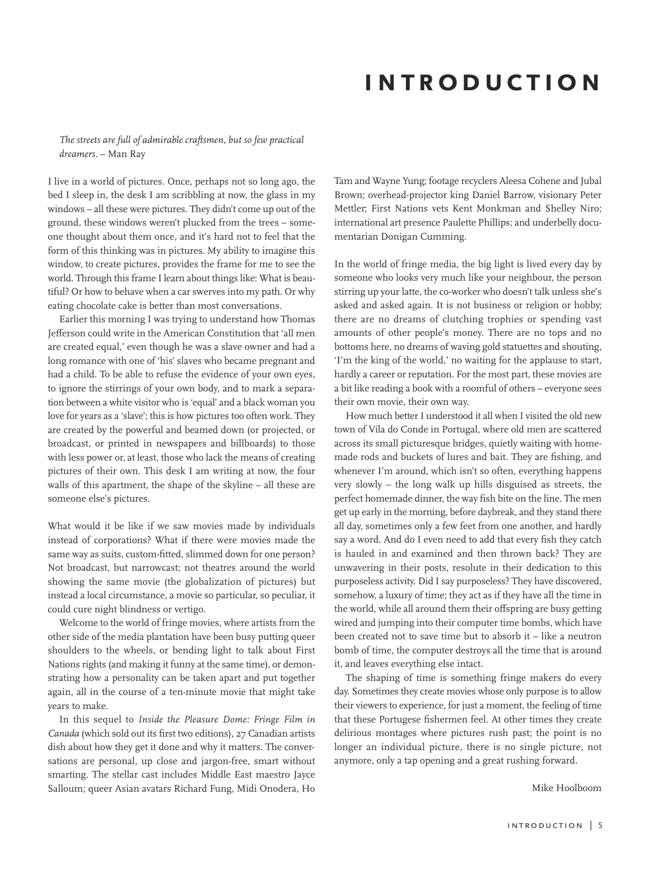## **introduction**

*The streets are full of admirable craftsmen, but so few practical dreamers.* – Man Ray

I live in a world of pictures. Once, perhaps not so long ago, the bed I sleep in, the desk I am scribbling at now, the glass in my windows – all these were pictures. They didn't come up out of the ground, these windows weren't plucked from the trees – someone thought about them once, and it's hard not to feel that the form of this thinking was in pictures. My ability to imagine this window, to create pictures, provides the frame for me to see the world. Through this frame I learn about things like: What is beautiful? Or how to behave when a car swerves into my path. Or why eating chocolate cake is better than most conversations.

Earlier this morning I was trying to understand how Thomas Jefferson could write in the American Constitution that 'all men are created equal,' even though he was a slave owner and had a long romance with one of 'his' slaves who became pregnant and had a child. To be able to refuse the evidence of your own eyes, to ignore the stirrings of your own body, and to mark a separation between a white visitor who is 'equal' and a black woman you love for years as a 'slave'; this is how pictures too often work. They are created by the powerful and beamed down (or projected, or broadcast, or printed in newspapers and billboards) to those with less power or, at least, those who lack the means of creating pictures of their own. This desk I am writing at now, the four walls of this apartment, the shape of the skyline – all these are someone else's pictures.

What would it be like if we saw movies made by individuals instead of corporations? What if there were movies made the same way as suits, custom-fitted, slimmed down for one person? Not broadcast, but narrowcast; not theatres around the world showing the same movie (the globalization of pictures) but instead a local circumstance, a movie so particular, so peculiar, it could cure night blindness or vertigo.

Welcome to the world of fringe movies, where artists from the other side of the media plantation have been busy putting queer shoulders to the wheels, or bending light to talk about First Nations rights (and making it funny at the same time), or demonstrating how a personality can be taken apart and put together again, all in the course of a ten-minute movie that might take years to make.

In this sequel to *Inside the Pleasure Dome: Fringe Film in Canada* (which sold out its first two editions), 27 Canadian artists dish about how they get it done and why it matters. The conversations are personal, up close and jargon-free, smart without smarting. The stellar cast includes Middle East maestro Jayce Salloum; queer Asian avatars Richard Fung, Midi Onodera, Ho

Tam and Wayne Yung; footage recyclers Aleesa Cohene and Jubal Brown; overhead-projector king Daniel Barrow, visionary Peter Mettler; First Nations vets Kent Monkman and Shelley Niro; international art presence Paulette Phillips; and underbelly documentarian Donigan Cumming.

In the world of fringe media, the big light is lived every day by someone who looks very much like your neighbour, the person stirring up your latte, the co-worker who doesn't talk unless she's asked and asked again. It is not business or religion or hobby; there are no dreams of clutching trophies or spending vast amounts of other people's money. There are no tops and no bottoms here, no dreams of waving gold statuettes and shouting, 'I'm the king of the world,' no waiting for the applause to start, hardly a career or reputation. For the most part, these movies are a bit like reading a book with a roomful of others – everyone sees their own movie, their own way.

How much better I understood it all when I visited the old new town of Vila do Conde in Portugal, where old men are scattered across its small picturesque bridges, quietly waiting with homemade rods and buckets of lures and bait. They are fishing, and whenever I'm around, which isn't so often, everything happens very slowly – the long walk up hills disguised as streets, the perfect homemade dinner, the way fish bite on the line. The men get up early in the morning, before daybreak, and they stand there all day, sometimes only a few feet from one another, and hardly say a word. And do I even need to add that every fish they catch is hauled in and examined and then thrown back? They are unwavering in their posts, resolute in their dedication to this purposeless activity. Did I say purposeless? They have discovered, somehow, a luxury of time; they act as if they have all the time in the world, while all around them their offspring are busy getting wired and jumping into their computer time bombs, which have been created not to save time but to absorb it – like a neutron bomb of time, the computer destroys all the time that is around it, and leaves everything else intact.

The shaping of time is something fringe makers do every day. Sometimes they create movies whose only purpose is to allow their viewers to experience, for just a moment, the feeling of time that these Portugese fishermen feel. At other times they create delirious montages where pictures rush past; the point is no longer an individual picture, there is no single picture, not anymore, only a tap opening and a great rushing forward.

Mike Hoolboom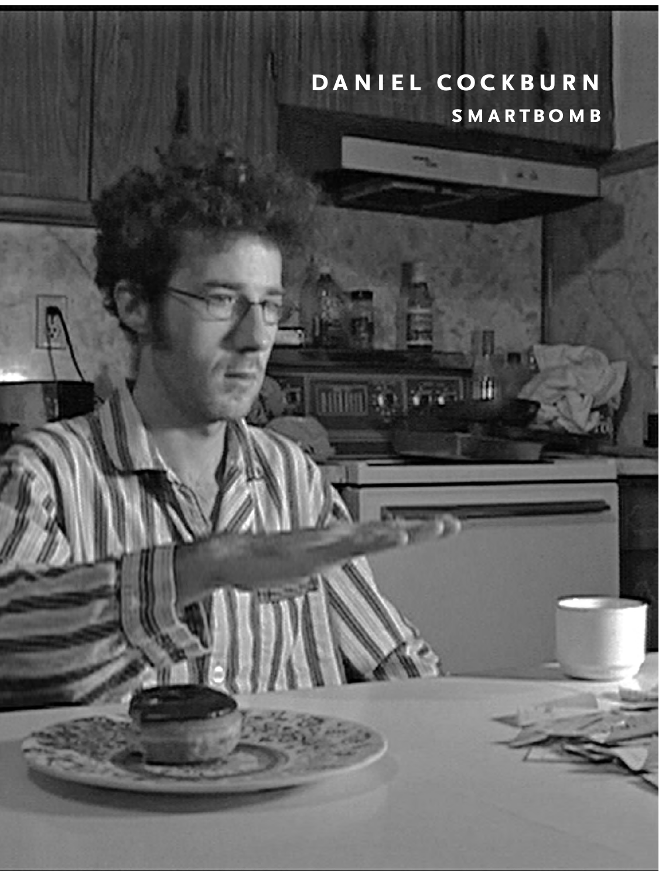## **daniel cockburn SMARTBOMB**

Ħ

 $\rightarrow \Delta$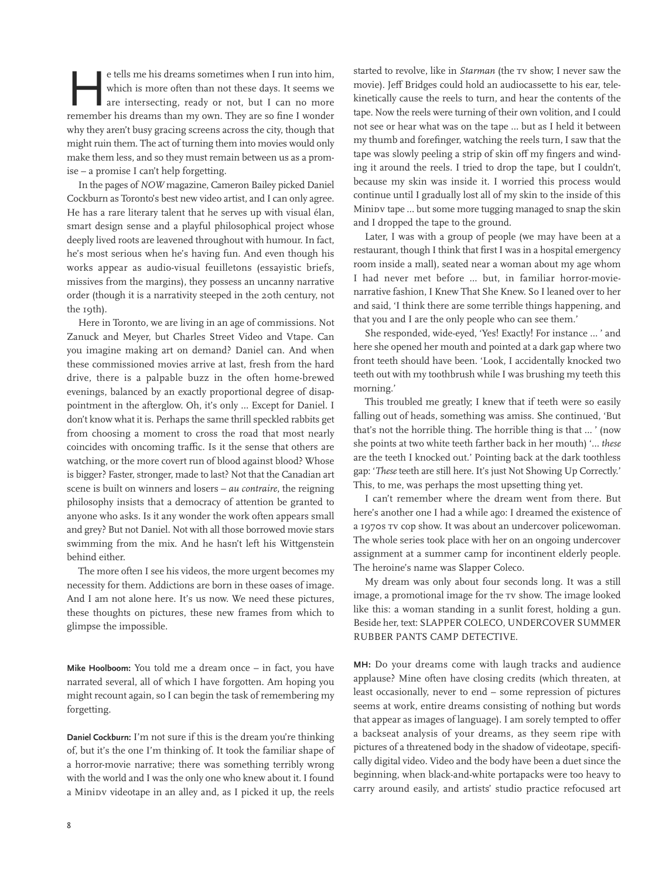e tells me his dreams sometimes when I run into him, which is more often than not these days. It seems we are intersecting, ready or not, but I can no more remember his dreams than my own. They are so fine I wonder which is more often than not these days. It seems we are intersecting, ready or not, but I can no more why they aren't busy gracing screens across the city, though that might ruin them. The act of turning them into movies would only make them less, and so they must remain between us as a promise – a promise I can't help forgetting.

In the pages of *NOW* magazine, Cameron Bailey picked Daniel Cockburn as Toronto's best new video artist, and I can only agree. He has a rare literary talent that he serves up with visual élan, smart design sense and a playful philosophical project whose deeply lived roots are leavened throughout with humour. In fact, he's most serious when he's having fun. And even though his works appear as audio-visual feuilletons (essayistic briefs, missives from the margins), they possess an uncanny narrative order (though it is a narrativity steeped in the 20th century, not the 19th).

Here in Toronto, we are living in an age of commissions. Not Zanuck and Meyer, but Charles Street Video and Vtape. Can you imagine making art on demand? Daniel can. And when these commissioned movies arrive at last, fresh from the hard drive, there is a palpable buzz in the often home-brewed evenings, balanced by an exactly proportional degree of disappointment in the afterglow. Oh, it's only … Except for Daniel. I don't know what it is. Perhaps the same thrill speckled rabbits get from choosing a moment to cross the road that most nearly coincides with oncoming traffic. Is it the sense that others are watching, or the more covert run of blood against blood? Whose is bigger? Faster, stronger, made to last? Not that the Canadian art scene is built on winners and losers – *au contraire*, the reigning philosophy insists that a democracy of attention be granted to anyone who asks. Is it any wonder the work often appears small and grey? But not Daniel. Not with all those borrowed movie stars swimming from the mix. And he hasn't left his Wittgenstein behind either.

The more often I see his videos, the more urgent becomes my necessity for them. Addictions are born in these oases of image. And I am not alone here. It's us now. We need these pictures, these thoughts on pictures, these new frames from which to glimpse the impossible.

**Mike Hoolboom:** You told me a dream once – in fact, you have narrated several, all of which I have forgotten. Am hoping you might recount again, so I can begin the task of remembering my forgetting.

**Daniel Cockburn:** I'm not sure if this is the dream you're thinking of, but it's the one I'm thinking of. It took the familiar shape of a horror-movie narrative; there was something terribly wrong with the world and I was the only one who knew about it. I found a Mini*dv* videotape in an alley and, as I picked it up, the reels

started to revolve, like in *Starman* (the *tv* show; I never saw the movie). Jeff Bridges could hold an audiocassette to his ear, telekinetically cause the reels to turn, and hear the contents of the tape. Now the reels were turning of their own volition, and I could not see or hear what was on the tape … but as I held it between my thumb and forefinger, watching the reels turn, I saw that the tape was slowly peeling a strip of skin off my fingers and winding it around the reels. I tried to drop the tape, but I couldn't, because my skin was inside it. I worried this process would continue until I gradually lost all of my skin to the inside of this Mini*dv* tape … but some more tugging managed to snap the skin and I dropped the tape to the ground.

Later, I was with a group of people (we may have been at a restaurant, though I think that first I was in a hospital emergency room inside a mall), seated near a woman about my age whom I had never met before … but, in familiar horror-movienarrative fashion, I Knew That She Knew. So I leaned over to her and said, 'I think there are some terrible things happening, and that you and I are the only people who can see them.'

She responded, wide-eyed, 'Yes! Exactly! For instance … ' and here she opened her mouth and pointed at a dark gap where two front teeth should have been. 'Look, I accidentally knocked two teeth out with my toothbrush while I was brushing my teeth this morning.'

This troubled me greatly; I knew that if teeth were so easily falling out of heads, something was amiss. She continued, 'But that's not the horrible thing. The horrible thing is that … ' (now she points at two white teeth farther back in her mouth) '… *these* are the teeth I knocked out.' Pointing back at the dark toothless gap: '*These* teeth are still here. It's just Not Showing Up Correctly.' This, to me, was perhaps the most upsetting thing yet.

I can't remember where the dream went from there. But here's another one I had a while ago: I dreamed the existence of a 1970s *tv* cop show. It was about an undercover policewoman. The whole series took place with her on an ongoing undercover assignment at a summer camp for incontinent elderly people. The heroine's name was Slapper Coleco.

My dream was only about four seconds long. It was a still image, a promotional image for the *tv* show. The image looked like this: a woman standing in a sunlit forest, holding a gun. Beside her, text: SLAPPER COLECO, UNDERCOVER SUMMER RUBBER PANTS CAMP DETECTIVE.

**MH:** Do your dreams come with laugh tracks and audience applause? Mine often have closing credits (which threaten, at least occasionally, never to end – some repression of pictures seems at work, entire dreams consisting of nothing but words that appear as images of language). I am sorely tempted to offer a backseat analysis of your dreams, as they seem ripe with pictures of a threatened body in the shadow of videotape, specifically digital video. Video and the body have been a duet since the beginning, when black-and-white portapacks were too heavy to carry around easily, and artists' studio practice refocused art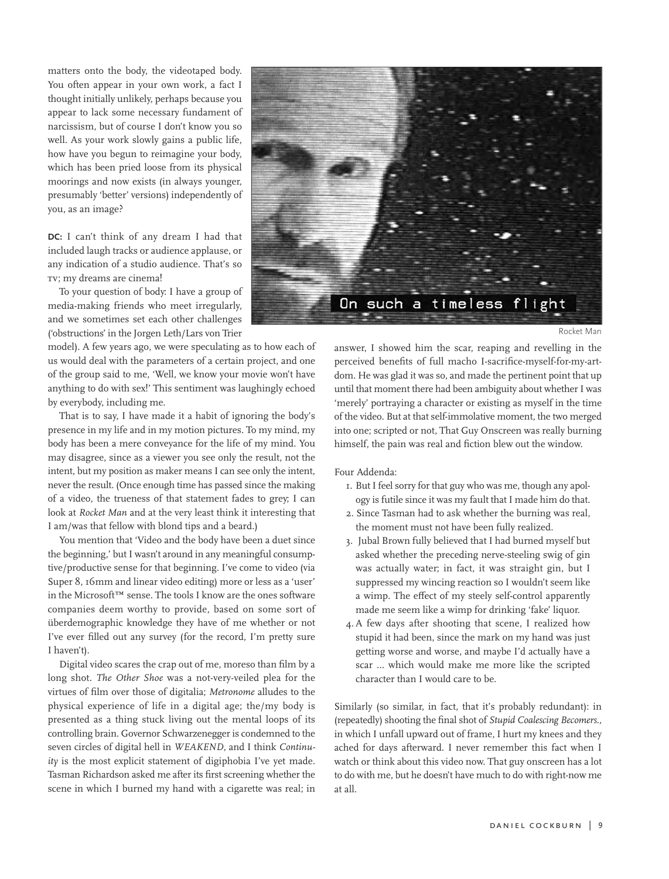matters onto the body, the videotaped body. You often appear in your own work, a fact I thought initially unlikely, perhaps because you appear to lack some necessary fundament of narcissism, but of course I don't know you so well. As your work slowly gains a public life, how have you begun to reimagine your body, which has been pried loose from its physical moorings and now exists (in always younger, presumably 'better' versions) independently of you, as an image?

**DC:** I can't think of any dream I had that included laugh tracks or audience applause, or any indication of a studio audience. That's so *tv*; my dreams are cinema!

To your question of body: I have a group of media-making friends who meet irregularly, and we sometimes set each other challenges ('obstructions' in the Jorgen Leth/Lars von Trier

model). A few years ago, we were speculating as to how each of us would deal with the parameters of a certain project, and one of the group said to me, 'Well, we know your movie won't have anything to do with sex!' This sentiment was laughingly echoed by everybody, including me.

That is to say, I have made it a habit of ignoring the body's presence in my life and in my motion pictures. To my mind, my body has been a mere conveyance for the life of my mind. You may disagree, since as a viewer you see only the result, not the intent, but my position as maker means I can see only the intent, never the result. (Once enough time has passed since the making of a video, the trueness of that statement fades to grey; I can look at *Rocket Man* and at the very least think it interesting that I am/was that fellow with blond tips and a beard.)

You mention that 'Video and the body have been a duet since the beginning,' but I wasn't around in any meaningful consumptive/productive sense for that beginning. I've come to video (via Super 8, 16mm and linear video editing) more or less as a 'user' in the Microsoft™ sense. The tools I know are the ones software companies deem worthy to provide, based on some sort of überdemographic knowledge they have of me whether or not I've ever filled out any survey (for the record, I'm pretty sure I haven't).

Digital video scares the crap out of me, moreso than film by a long shot. *The Other Shoe* was a not-very-veiled plea for the virtues of film over those of digitalia; *Metronome* alludes to the physical experience of life in a digital age; the/my body is presented as a thing stuck living out the mental loops of its controlling brain. Governor Schwarzenegger is condemned to the seven circles of digital hell in *WEAKEND*, and I think *Continuity* is the most explicit statement of digiphobia I've yet made. Tasman Richardson asked me after its first screening whether the scene in which I burned my hand with a cigarette was real; in



Rocket Man

answer, I showed him the scar, reaping and revelling in the perceived benefits of full macho I-sacrifice-myself-for-my-artdom. He was glad it was so, and made the pertinent point that up until that moment there had been ambiguity about whether I was 'merely' portraying a character or existing as myself in the time of the video. But at that self-immolative moment, the two merged into one; scripted or not, That Guy Onscreen was really burning himself, the pain was real and fiction blew out the window.

Four Addenda:

- 1. But I feel sorry for that guy who was me, though any apology is futile since it was my fault that I made him do that.
- 2. Since Tasman had to ask whether the burning was real, the moment must not have been fully realized.
- 3. Jubal Brown fully believed that I had burned myself but asked whether the preceding nerve-steeling swig of gin was actually water; in fact, it was straight gin, but I suppressed my wincing reaction so I wouldn't seem like a wimp. The effect of my steely self-control apparently made me seem like a wimp for drinking 'fake' liquor.
- 4. A few days after shooting that scene, I realized how stupid it had been, since the mark on my hand was just getting worse and worse, and maybe I'd actually have a scar … which would make me more like the scripted character than I would care to be.

Similarly (so similar, in fact, that it's probably redundant): in (repeatedly) shooting the final shot of *Stupid Coalescing Becomers.,* in which I unfall upward out of frame, I hurt my knees and they ached for days afterward. I never remember this fact when I watch or think about this video now. That guy onscreen has a lot to do with me, but he doesn't have much to do with right-now me at all.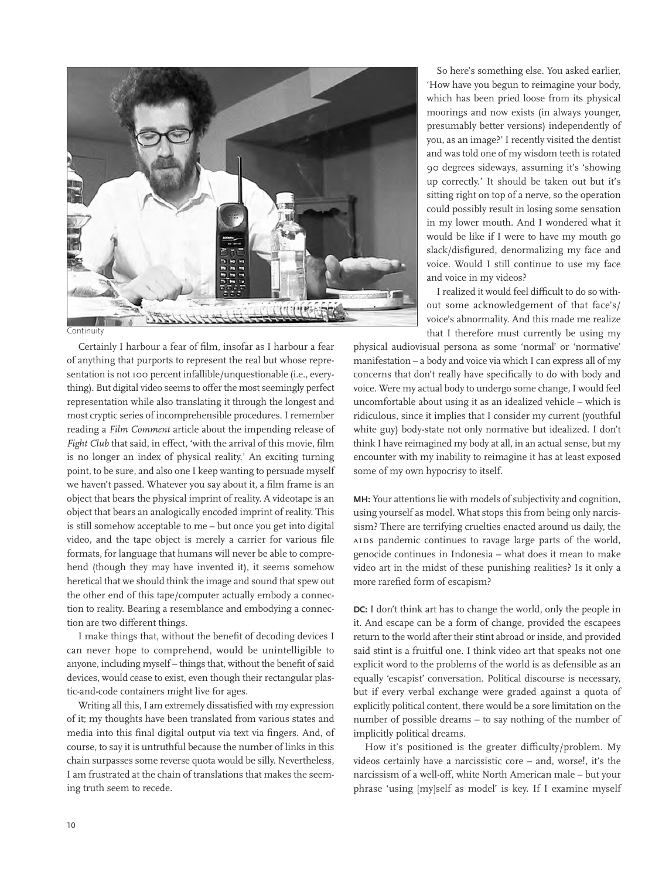

Continuity

Certainly I harbour a fear of film, insofar as I harbour a fear of anything that purports to represent the real but whose representation is not 100 percent infallible/unquestionable (i.e., everything). But digital video seems to offer the most seemingly perfect representation while also translating it through the longest and most cryptic series of incomprehensible procedures. I remember reading a *Film Comment* article about the impending release of *Fight Club* that said, in effect, 'with the arrival of this movie, film is no longer an index of physical reality.' An exciting turning point, to be sure, and also one I keep wanting to persuade myself we haven't passed. Whatever you say about it, a film frame is an object that bears the physical imprint of reality. A videotape is an object that bears an analogically encoded imprint of reality. This is still somehow acceptable to me – but once you get into digital video, and the tape object is merely a carrier for various file formats, for language that humans will never be able to comprehend (though they may have invented it), it seems somehow heretical that we should think the image and sound that spew out the other end of this tape/computer actually embody a connection to reality. Bearing a resemblance and embodying a connection are two different things.

I make things that, without the benefit of decoding devices I can never hope to comprehend, would be unintelligible to anyone, including myself – things that, without the benefit of said devices, would cease to exist, even though their rectangular plastic-and-code containers might live for ages.

Writing all this, I am extremely dissatisfied with my expression of it; my thoughts have been translated from various states and media into this final digital output via text via fingers. And, of course, to say it is untruthful because the number of links in this chain surpasses some reverse quota would be silly. Nevertheless, I am frustrated at the chain of translations that makes the seeming truth seem to recede.

So here's something else. You asked earlier, 'How have you begun to reimagine your body, which has been pried loose from its physical moorings and now exists (in always younger, presumably better versions) independently of you, as an image?' I recently visited the dentist and was told one of my wisdom teeth is rotated 90 degrees sideways, assuming it's 'showing up correctly.' It should be taken out but it's sitting right on top of a nerve, so the operation could possibly result in losing some sensation in my lower mouth. And I wondered what it would be like if I were to have my mouth go slack/disfigured, denormalizing my face and voice. Would I still continue to use my face and voice in my videos?

I realized it would feel difficult to do so without some acknowledgement of that face's/ voice's abnormality. And this made me realize that I therefore must currently be using my

physical audiovisual persona as some 'normal' or 'normative' manifestation – a body and voice via which I can express all of my concerns that don't really have specifically to do with body and voice. Were my actual body to undergo some change, I would feel uncomfortable about using it as an idealized vehicle – which is ridiculous, since it implies that I consider my current (youthful white guy) body-state not only normative but idealized. I don't think I have reimagined my body at all, in an actual sense, but my encounter with my inability to reimagine it has at least exposed some of my own hypocrisy to itself.

**MH:** Your attentions lie with models of subjectivity and cognition, using yourself as model. What stops this from being only narcissism? There are terrifying cruelties enacted around us daily, the *aids* pandemic continues to ravage large parts of the world, genocide continues in Indonesia – what does it mean to make video art in the midst of these punishing realities? Is it only a more rarefied form of escapism?

**DC:** I don't think art has to change the world, only the people in it. And escape can be a form of change, provided the escapees return to the world after their stint abroad or inside, and provided said stint is a fruitful one. I think video art that speaks not one explicit word to the problems of the world is as defensible as an equally 'escapist' conversation. Political discourse is necessary, but if every verbal exchange were graded against a quota of explicitly political content, there would be a sore limitation on the number of possible dreams – to say nothing of the number of implicitly political dreams.

How it's positioned is the greater difficulty/problem. My videos certainly have a narcissistic core – and, worse!, it's the narcissism of a well-off, white North American male - but your phrase 'using [my]self as model' is key. If I examine myself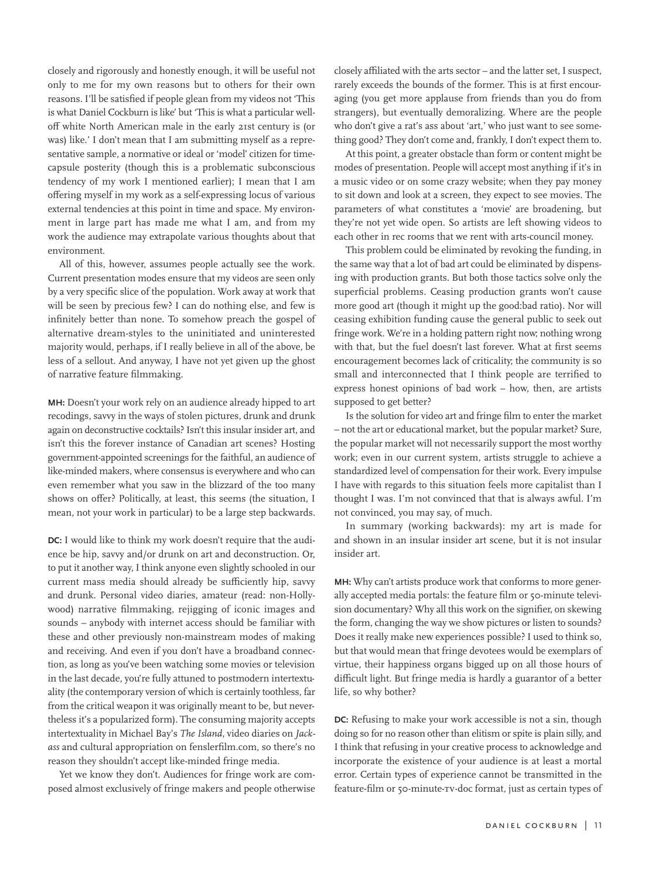closely and rigorously and honestly enough, it will be useful not only to me for my own reasons but to others for their own reasons. I'll be satisfied if people glean from my videos not 'This is what Daniel Cockburn is like' but 'This is what a particular welloff white North American male in the early 21st century is (or was) like.' I don't mean that I am submitting myself as a representative sample, a normative or ideal or 'model' citizen for timecapsule posterity (though this is a problematic subconscious tendency of my work I mentioned earlier); I mean that I am offering myself in my work as a self-expressing locus of various external tendencies at this point in time and space. My environment in large part has made me what I am, and from my work the audience may extrapolate various thoughts about that environment.

All of this, however, assumes people actually see the work. Current presentation modes ensure that my videos are seen only by a very specific slice of the population. Work away at work that will be seen by precious few? I can do nothing else, and few is infinitely better than none. To somehow preach the gospel of alternative dream-styles to the uninitiated and uninterested majority would, perhaps, if I really believe in all of the above, be less of a sellout. And anyway, I have not yet given up the ghost of narrative feature filmmaking.

**MH:** Doesn't your work rely on an audience already hipped to art recodings, savvy in the ways of stolen pictures, drunk and drunk again on deconstructive cocktails? Isn't this insular insider art, and isn't this the forever instance of Canadian art scenes? Hosting government-appointed screenings for the faithful, an audience of like-minded makers, where consensus is everywhere and who can even remember what you saw in the blizzard of the too many shows on offer? Politically, at least, this seems (the situation, I mean, not your work in particular) to be a large step backwards.

**DC:** I would like to think my work doesn't require that the audience be hip, savvy and/or drunk on art and deconstruction. Or, to put it another way, I think anyone even slightly schooled in our current mass media should already be sufficiently hip, savvy and drunk. Personal video diaries, amateur (read: non-Hollywood) narrative filmmaking, rejigging of iconic images and sounds – anybody with internet access should be familiar with these and other previously non-mainstream modes of making and receiving. And even if you don't have a broadband connection, as long as you've been watching some movies or television in the last decade, you're fully attuned to postmodern intertextuality (the contemporary version of which is certainly toothless, far from the critical weapon it was originally meant to be, but nevertheless it's a popularized form). The consuming majority accepts intertextuality in Michael Bay's *The Island*, video diaries on *Jackass* and cultural appropriation on fenslerfilm.com, so there's no reason they shouldn't accept like-minded fringe media.

Yet we know they don't. Audiences for fringe work are composed almost exclusively of fringe makers and people otherwise closely affiliated with the arts sector – and the latter set, I suspect, rarely exceeds the bounds of the former. This is at first encouraging (you get more applause from friends than you do from strangers), but eventually demoralizing. Where are the people who don't give a rat's ass about 'art,' who just want to see something good? They don't come and, frankly, I don't expect them to.

At this point, a greater obstacle than form or content might be modes of presentation. People will accept most anything if it's in a music video or on some crazy website; when they pay money to sit down and look at a screen, they expect to see movies. The parameters of what constitutes a 'movie' are broadening, but they're not yet wide open. So artists are left showing videos to each other in rec rooms that we rent with arts-council money.

This problem could be eliminated by revoking the funding, in the same way that a lot of bad art could be eliminated by dispensing with production grants. But both those tactics solve only the superficial problems. Ceasing production grants won't cause more good art (though it might up the good:bad ratio). Nor will ceasing exhibition funding cause the general public to seek out fringe work. We're in a holding pattern right now; nothing wrong with that, but the fuel doesn't last forever. What at first seems encouragement becomes lack of criticality; the community is so small and interconnected that I think people are terrified to express honest opinions of bad work – how, then, are artists supposed to get better?

Is the solution for video art and fringe film to enter the market – not the art or educational market, but the popular market? Sure, the popular market will not necessarily support the most worthy work; even in our current system, artists struggle to achieve a standardized level of compensation for their work. Every impulse I have with regards to this situation feels more capitalist than I thought I was. I'm not convinced that that is always awful. I'm not convinced, you may say, of much.

In summary (working backwards): my art is made for and shown in an insular insider art scene, but it is not insular insider art.

**MH:** Why can't artists produce work that conforms to more generally accepted media portals: the feature film or 50-minute television documentary? Why all this work on the signifier, on skewing the form, changing the way we show pictures or listen to sounds? Does it really make new experiences possible? I used to think so, but that would mean that fringe devotees would be exemplars of virtue, their happiness organs bigged up on all those hours of difficult light. But fringe media is hardly a guarantor of a better life, so why bother?

**DC:** Refusing to make your work accessible is not a sin, though doing so for no reason other than elitism or spite is plain silly, and I think that refusing in your creative process to acknowledge and incorporate the existence of your audience is at least a mortal error. Certain types of experience cannot be transmitted in the feature-film or 50-minute-*tv*-doc format, just as certain types of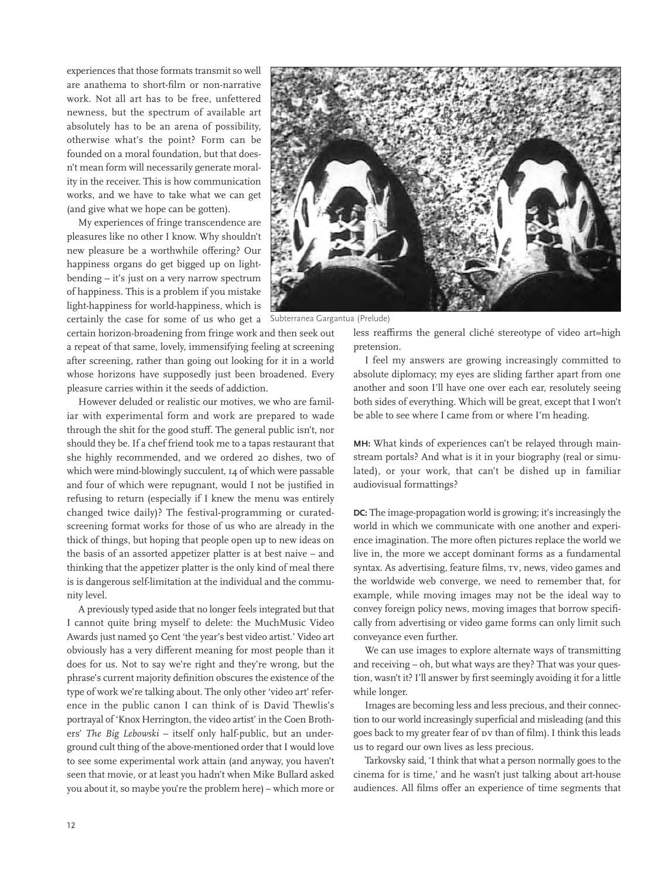experiences that those formats transmit so well are anathema to short-film or non-narrative work. Not all art has to be free, unfettered newness, but the spectrum of available art absolutely has to be an arena of possibility, otherwise what's the point? Form can be founded on a moral foundation, but that doesn't mean form will necessarily generate morality in the receiver. This is how communication works, and we have to take what we can get (and give what we hope can be gotten).

My experiences of fringe transcendence are pleasures like no other I know. Why shouldn't new pleasure be a worthwhile offering? Our happiness organs do get bigged up on lightbending – it's just on a very narrow spectrum of happiness. This is a problem if you mistake light-happiness for world-happiness, which is certainly the case for some of us who get a Subterranea Gargantua (Prelude)

certain horizon-broadening from fringe work and then seek out a repeat of that same, lovely, immensifying feeling at screening after screening, rather than going out looking for it in a world whose horizons have supposedly just been broadened. Every pleasure carries within it the seeds of addiction.

However deluded or realistic our motives, we who are familiar with experimental form and work are prepared to wade through the shit for the good stuff. The general public isn't, nor should they be. If a chef friend took me to a tapas restaurant that she highly recommended, and we ordered 20 dishes, two of which were mind-blowingly succulent, 14 of which were passable and four of which were repugnant, would I not be justified in refusing to return (especially if I knew the menu was entirely changed twice daily)? The festival-programming or curatedscreening format works for those of us who are already in the thick of things, but hoping that people open up to new ideas on the basis of an assorted appetizer platter is at best naive – and thinking that the appetizer platter is the only kind of meal there is is dangerous self-limitation at the individual and the community level.

A previously typed aside that no longer feels integrated but that I cannot quite bring myself to delete: the MuchMusic Video Awards just named 50 Cent 'the year's best video artist.' Video art obviously has a very different meaning for most people than it does for us. Not to say we're right and they're wrong, but the phrase's current majority definition obscures the existence of the type of work we're talking about. The only other 'video art' reference in the public canon I can think of is David Thewlis's portrayal of 'Knox Herrington, the video artist' in the Coen Brothers' *The Big Lebowski* – itself only half-public, but an underground cult thing of the above-mentioned order that I would love to see some experimental work attain (and anyway, you haven't seen that movie, or at least you hadn't when Mike Bullard asked you about it, so maybe you're the problem here) – which more or



less reaffirms the general cliché stereotype of video art=high pretension.

I feel my answers are growing increasingly committed to absolute diplomacy; my eyes are sliding farther apart from one another and soon I'll have one over each ear, resolutely seeing both sides of everything. Which will be great, except that I won't be able to see where I came from or where I'm heading.

**MH:** What kinds of experiences can't be relayed through mainstream portals? And what is it in your biography (real or simulated), or your work, that can't be dished up in familiar audiovisual formattings?

**DC:** The image-propagation world is growing; it's increasingly the world in which we communicate with one another and experience imagination. The more often pictures replace the world we live in, the more we accept dominant forms as a fundamental syntax. As advertising, feature films, *tv*, news, video games and the worldwide web converge, we need to remember that, for example, while moving images may not be the ideal way to convey foreign policy news, moving images that borrow specifically from advertising or video game forms can only limit such conveyance even further.

We can use images to explore alternate ways of transmitting and receiving – oh, but what ways are they? That was your question, wasn't it? I'll answer by first seemingly avoiding it for a little while longer.

Images are becoming less and less precious, and their connection to our world increasingly superficial and misleading (and this goes back to my greater fear of *dv* than of film). I think this leads us to regard our own lives as less precious.

Tarkovsky said, 'I think that what a person normally goes to the cinema for is time,' and he wasn't just talking about art-house audiences. All films offer an experience of time segments that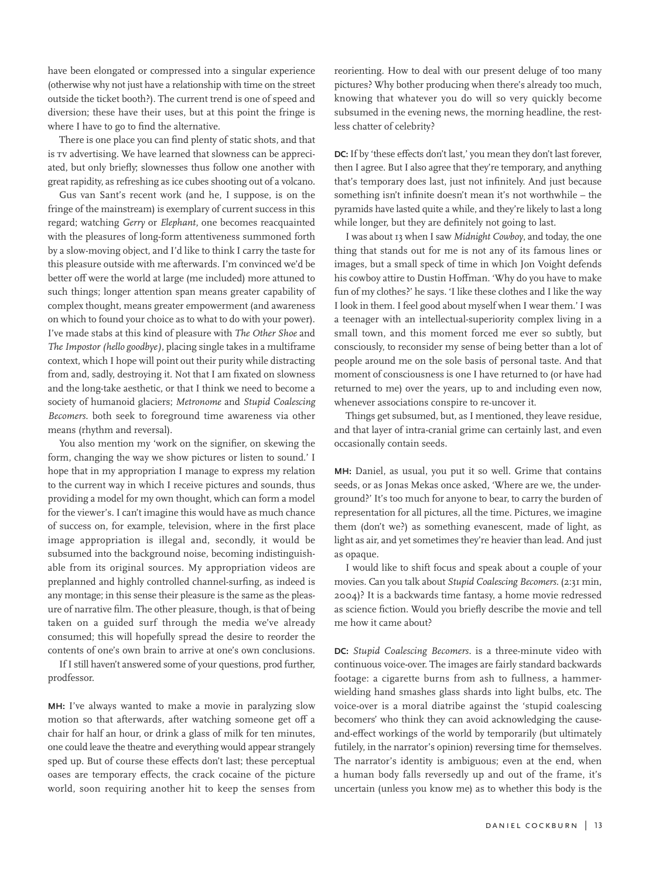have been elongated or compressed into a singular experience (otherwise why not just have a relationship with time on the street outside the ticket booth?). The current trend is one of speed and diversion; these have their uses, but at this point the fringe is where I have to go to find the alternative.

There is one place you can find plenty of static shots, and that is *tv* advertising. We have learned that slowness can be appreciated, but only briefly; slownesses thus follow one another with great rapidity, as refreshing as ice cubes shooting out of a volcano.

Gus van Sant's recent work (and he, I suppose, is on the fringe of the mainstream) is exemplary of current success in this regard; watching *Gerry* or *Elephant*, one becomes reacquainted with the pleasures of long-form attentiveness summoned forth by a slow-moving object, and I'd like to think I carry the taste for this pleasure outside with me afterwards. I'm convinced we'd be better off were the world at large (me included) more attuned to such things; longer attention span means greater capability of complex thought, means greater empowerment (and awareness on which to found your choice as to what to do with your power). I've made stabs at this kind of pleasure with *The Other Shoe* and *The Impostor (hello goodbye)*, placing single takes in a multiframe context, which I hope will point out their purity while distracting from and, sadly, destroying it. Not that I am fixated on slowness and the long-take aesthetic, or that I think we need to become a society of humanoid glaciers; *Metronome* and *Stupid Coalescing Becomers*. both seek to foreground time awareness via other means (rhythm and reversal).

You also mention my 'work on the signifier, on skewing the form, changing the way we show pictures or listen to sound.' I hope that in my appropriation I manage to express my relation to the current way in which I receive pictures and sounds, thus providing a model for my own thought, which can form a model for the viewer's. I can't imagine this would have as much chance of success on, for example, television, where in the first place image appropriation is illegal and, secondly, it would be subsumed into the background noise, becoming indistinguishable from its original sources. My appropriation videos are preplanned and highly controlled channel-surfing, as indeed is any montage; in this sense their pleasure is the same as the pleasure of narrative film. The other pleasure, though, is that of being taken on a guided surf through the media we've already consumed; this will hopefully spread the desire to reorder the contents of one's own brain to arrive at one's own conclusions.

If I still haven't answered some of your questions, prod further, prodfessor.

**MH:** I've always wanted to make a movie in paralyzing slow motion so that afterwards, after watching someone get off a chair for half an hour, or drink a glass of milk for ten minutes, one could leave the theatre and everything would appear strangely sped up. But of course these effects don't last; these perceptual oases are temporary effects, the crack cocaine of the picture world, soon requiring another hit to keep the senses from  reorienting. How to deal with our present deluge of too many pictures? Why bother producing when there's already too much, knowing that whatever you do will so very quickly become subsumed in the evening news, the morning headline, the restless chatter of celebrity?

**DC:** If by 'these effects don't last,' you mean they don't last forever, then I agree. But I also agree that they're temporary, and anything that's temporary does last, just not infinitely. And just because something isn't infinite doesn't mean it's not worthwhile – the pyramids have lasted quite a while, and they're likely to last a long while longer, but they are definitely not going to last.

I was about 13 when I saw *Midnight Cowboy*, and today, the one thing that stands out for me is not any of its famous lines or images, but a small speck of time in which Jon Voight defends his cowboy attire to Dustin Hoffman. 'Why do you have to make fun of my clothes?' he says. 'I like these clothes and I like the way I look in them. I feel good about myself when I wear them.' I was a teenager with an intellectual-superiority complex living in a small town, and this moment forced me ever so subtly, but consciously, to reconsider my sense of being better than a lot of people around me on the sole basis of personal taste. And that moment of consciousness is one I have returned to (or have had returned to me) over the years, up to and including even now, whenever associations conspire to re-uncover it.

Things get subsumed, but, as I mentioned, they leave residue, and that layer of intra-cranial grime can certainly last, and even occasionally contain seeds.

**MH:** Daniel, as usual, you put it so well. Grime that contains seeds, or as Jonas Mekas once asked, 'Where are we, the underground?' It's too much for anyone to bear, to carry the burden of representation for all pictures, all the time. Pictures, we imagine them (don't we?) as something evanescent, made of light, as light as air, and yet sometimes they're heavier than lead. And just as opaque.

I would like to shift focus and speak about a couple of your movies. Can you talk about *Stupid Coalescing Becomers.* (2:31 min, 2004)? It is a backwards time fantasy, a home movie redressed as science fiction. Would you briefly describe the movie and tell me how it came about?

**DC:** *Stupid Coalescing Becomers.* is a three-minute video with continuous voice-over. The images are fairly standard backwards footage: a cigarette burns from ash to fullness, a hammer wielding hand smashes glass shards into light bulbs, etc. The voice-over is a moral diatribe against the 'stupid coalescing becomers' who think they can avoid acknowledging the causeand-effect workings of the world by temporarily (but ultimately futilely, in the narrator's opinion) reversing time for themselves. The narrator's identity is ambiguous; even at the end, when a human body falls reversedly up and out of the frame, it's uncertain (unless you know me) as to whether this body is the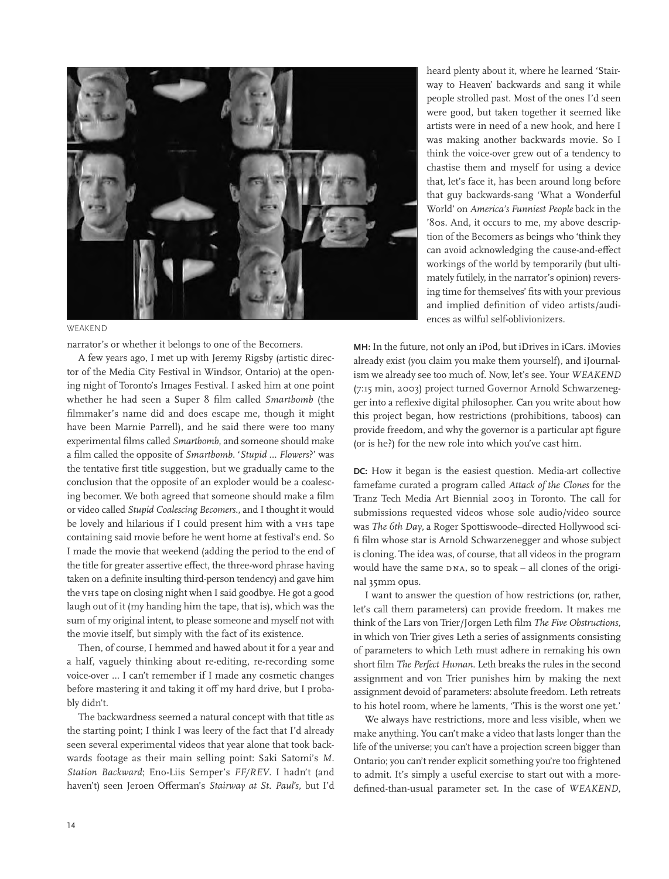

WEAKEND

narrator's or whether it belongs to one of the Becomers.

A few years ago, I met up with Jeremy Rigsby (artistic director of the Media City Festival in Windsor, Ontario) at the opening night of Toronto's Images Festival. I asked him at one point whether he had seen a Super 8 film called *Smartbomb* (the filmmaker's name did and does escape me, though it might have been Marnie Parrell), and he said there were too many experimental films called *Smartbomb*, and someone should make a film called the opposite of *Smartbomb*. '*Stupid … Flowers*?' was the tentative first title suggestion, but we gradually came to the conclusion that the opposite of an exploder would be a coalescing becomer. We both agreed that someone should make a film or video called *Stupid Coalescing Becomers.*, and I thought it would be lovely and hilarious if I could present him with a *vhs* tape containing said movie before he went home at festival's end. So I made the movie that weekend (adding the period to the end of the title for greater assertive effect, the three-word phrase having taken on a definite insulting third-person tendency) and gave him the *vhs* tape on closing night when I said goodbye. He got a good laugh out of it (my handing him the tape, that is), which was the sum of my original intent, to please someone and myself not with the movie itself, but simply with the fact of its existence.

Then, of course, I hemmed and hawed about it for a year and a half, vaguely thinking about re-editing, re-recording some voice-over … I can't remember if I made any cosmetic changes before mastering it and taking it off my hard drive, but I probably didn't.

The backwardness seemed a natural concept with that title as the starting point; I think I was leery of the fact that I'd already seen several experimental videos that year alone that took backwards footage as their main selling point: Saki Satomi's *M. Station Backward*; Eno-Liis Semper's *FF/REV*. I hadn't (and haven't) seen Jeroen Offerman's Stairway at St. Paul's, but I'd

heard plenty about it, where he learned 'Stairway to Heaven' backwards and sang it while people strolled past. Most of the ones I'd seen were good, but taken together it seemed like artists were in need of a new hook, and here I was making another backwards movie. So I think the voice-over grew out of a tendency to chastise them and myself for using a device that, let's face it, has been around long before that guy backwards-sang 'What a Wonderful World' on *America's Funniest People* back in the '80s. And, it occurs to me, my above description of the Becomers as beings who 'think they can avoid acknowledging the cause-and-effect workings of the world by temporarily (but ultimately futilely, in the narrator's opinion) reversing time for themselves' fits with your previous and implied definition of video artists/audiences as wilful self-oblivionizers.

**MH:** In the future, not only an iPod, but iDrives in iCars. iMovies already exist (you claim you make them yourself), and iJournalism we already see too much of. Now, let's see. Your *WEAKEND* (7:15 min, 2003) project turned Governor Arnold Schwarzenegger into a reflexive digital philosopher. Can you write about how this project began, how restrictions (prohibitions, taboos) can provide freedom, and why the governor is a particular apt figure (or is he?) for the new role into which you've cast him.

**DC:** How it began is the easiest question. Media-art collective famefame curated a program called *Attack of the Clones* for the Tranz Tech Media Art Biennial 2003 in Toronto. The call for submissions requested videos whose sole audio/video source was *The 6th Day*, a Roger Spottiswoode–directed Hollywood scifi film whose star is Arnold Schwarzenegger and whose subject is cloning. The idea was, of course, that all videos in the program would have the same  $DNA$ , so to speak – all clones of the original 35mm opus.

I want to answer the question of how restrictions (or, rather, let's call them parameters) can provide freedom. It makes me think of the Lars von Trier/Jorgen Leth film *The Five Obstructions*, in which von Trier gives Leth a series of assignments consisting of parameters to which Leth must adhere in remaking his own short film *The Perfect Human*. Leth breaks the rules in the second assignment and von Trier punishes him by making the next assignment devoid of parameters: absolute freedom. Leth retreats to his hotel room, where he laments, 'This is the worst one yet.'

We always have restrictions, more and less visible, when we make anything. You can't make a video that lasts longer than the life of the universe; you can't have a projection screen bigger than Ontario; you can't render explicit something you're too frightened to admit. It's simply a useful exercise to start out with a moredefined-than-usual parameter set. In the case of *WEAKEND*,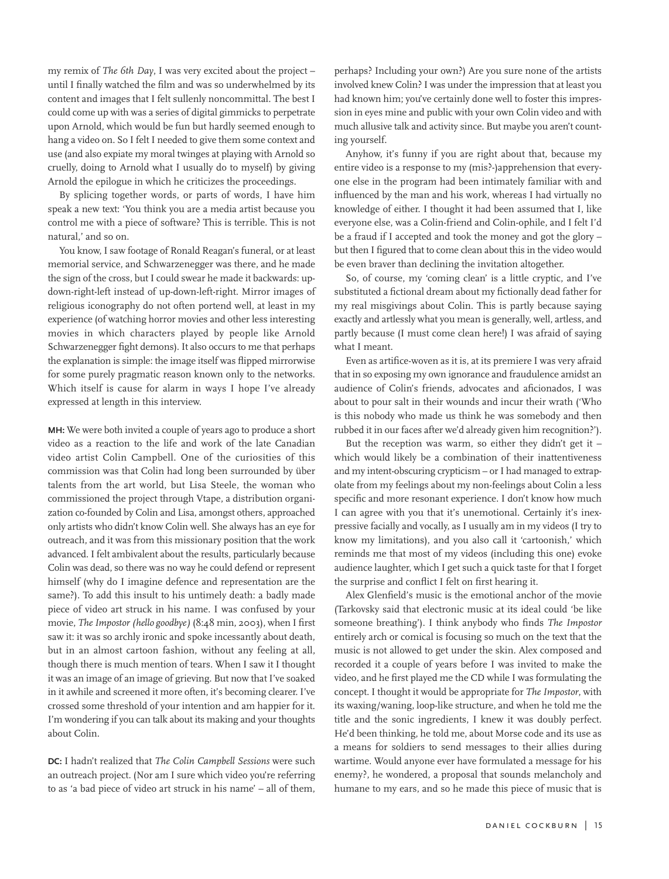my remix of *The 6th Day*, I was very excited about the project – until I finally watched the film and was so underwhelmed by its content and images that I felt sullenly noncommittal. The best I could come up with was a series of digital gimmicks to perpetrate upon Arnold, which would be fun but hardly seemed enough to hang a video on. So I felt I needed to give them some context and use (and also expiate my moral twinges at playing with Arnold so cruelly, doing to Arnold what I usually do to myself) by giving Arnold the epilogue in which he criticizes the proceedings.

By splicing together words, or parts of words, I have him speak a new text: 'You think you are a media artist because you control me with a piece of software? This is terrible. This is not natural,' and so on.

You know, I saw footage of Ronald Reagan's funeral, or at least memorial service, and Schwarzenegger was there, and he made the sign of the cross, but I could swear he made it backwards: updown-right-left instead of up-down-left-right. Mirror images of religious iconography do not often portend well, at least in my experience (of watching horror movies and other less interesting movies in which characters played by people like Arnold Schwarzenegger fight demons). It also occurs to me that perhaps the explanation is simple: the image itself was flipped mirrorwise for some purely pragmatic reason known only to the networks. Which itself is cause for alarm in ways I hope I've already expressed at length in this interview.

**MH:** We were both invited a couple of years ago to produce a short video as a reaction to the life and work of the late Canadian video artist Colin Campbell. One of the curiosities of this commission was that Colin had long been surrounded by über talents from the art world, but Lisa Steele, the woman who commissioned the project through Vtape, a distribution organization co-founded by Colin and Lisa, amongst others, approached only artists who didn't know Colin well. She always has an eye for outreach, and it was from this missionary position that the work advanced. I felt ambivalent about the results, particularly because Colin was dead, so there was no way he could defend or represent himself (why do I imagine defence and representation are the same?). To add this insult to his untimely death: a badly made piece of video art struck in his name. I was confused by your movie, *The Impostor (hello goodbye)* (8:48 min, 2003), when I first saw it: it was so archly ironic and spoke incessantly about death, but in an almost cartoon fashion, without any feeling at all, though there is much mention of tears. When I saw it I thought it was an image of an image of grieving. But now that I've soaked in it awhile and screened it more often, it's becoming clearer. I've crossed some threshold of your intention and am happier for it. I'm wondering if you can talk about its making and your thoughts about Colin.

**DC:** I hadn't realized that *The Colin Campbell Sessions* were such an outreach project. (Nor am I sure which video you're referring to as 'a bad piece of video art struck in his name' – all of them,

perhaps? Including your own?) Are you sure none of the artists involved knew Colin? I was under the impression that at least you had known him; you've certainly done well to foster this impression in eyes mine and public with your own Colin video and with much allusive talk and activity since. But maybe you aren't counting yourself.

Anyhow, it's funny if you are right about that, because my entire video is a response to my (mis?-)apprehension that everyone else in the program had been intimately familiar with and influenced by the man and his work, whereas I had virtually no knowledge of either. I thought it had been assumed that I, like everyone else, was a Colin-friend and Colin-ophile, and I felt I'd be a fraud if I accepted and took the money and got the glory – but then I figured that to come clean about this in the video would be even braver than declining the invitation altogether.

So, of course, my 'coming clean' is a little cryptic, and I've substituted a fictional dream about my fictionally dead father for my real misgivings about Colin. This is partly because saying exactly and artlessly what you mean is generally, well, artless, and partly because (I must come clean here!) I was afraid of saying what I meant.

Even as artifice-woven as it is, at its premiere I was very afraid that in so exposing my own ignorance and fraudulence amidst an audience of Colin's friends, advocates and aficionados, I was about to pour salt in their wounds and incur their wrath ('Who is this nobody who made us think he was somebody and then rubbed it in our faces after we'd already given him recognition?').

But the reception was warm, so either they didn't get it  $$ which would likely be a combination of their inattentiveness and my intent-obscuring crypticism – or I had managed to extrapolate from my feelings about my non-feelings about Colin a less specific and more resonant experience. I don't know how much I can agree with you that it's unemotional. Certainly it's inexpressive facially and vocally, as I usually am in my videos (I try to know my limitations), and you also call it 'cartoonish,' which reminds me that most of my videos (including this one) evoke audience laughter, which I get such a quick taste for that I forget the surprise and conflict I felt on first hearing it.

Alex Glenfield's music is the emotional anchor of the movie (Tarkovsky said that electronic music at its ideal could 'be like someone breathing'). I think anybody who finds *The Impostor* entirely arch or comical is focusing so much on the text that the music is not allowed to get under the skin. Alex composed and recorded it a couple of years before I was invited to make the video, and he first played me the CD while I was formulating the concept. I thought it would be appropriate for *The Impostor*, with its waxing/waning, loop-like structure, and when he told me the title and the sonic ingredients, I knew it was doubly perfect. He'd been thinking, he told me, about Morse code and its use as a means for soldiers to send messages to their allies during wartime. Would anyone ever have formulated a message for his enemy?, he wondered, a proposal that sounds melancholy and humane to my ears, and so he made this piece of music that is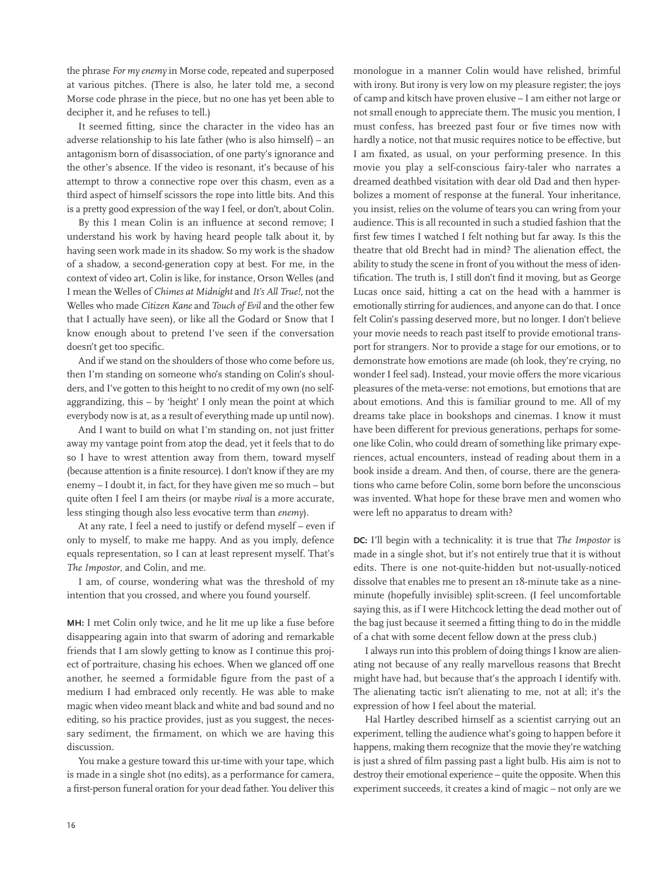the phrase *For my enemy* in Morse code, repeated and superposed at various pitches. (There is also, he later told me, a second Morse code phrase in the piece, but no one has yet been able to decipher it, and he refuses to tell.)

It seemed fitting, since the character in the video has an adverse relationship to his late father (who is also himself) – an antagonism born of disassociation, of one party's ignorance and the other's absence. If the video is resonant, it's because of his attempt to throw a connective rope over this chasm, even as a third aspect of himself scissors the rope into little bits. And this is a pretty good expression of the way I feel, or don't, about Colin.

By this I mean Colin is an influence at second remove; I understand his work by having heard people talk about it, by having seen work made in its shadow. So my work is the shadow of a shadow, a second-generation copy at best. For me, in the context of video art, Colin is like, for instance, Orson Welles (and I mean the Welles of *Chimes at Midnight* and *It's All True!*, not the Welles who made *Citizen Kane* and *Touch of Evil* and the other few that I actually have seen), or like all the Godard or Snow that I know enough about to pretend I've seen if the conversation doesn't get too specific.

And if we stand on the shoulders of those who come before us, then I'm standing on someone who's standing on Colin's shoulders, and I've gotten to this height to no credit of my own (no selfaggrandizing, this – by 'height' I only mean the point at which everybody now is at, as a result of everything made up until now).

And I want to build on what I'm standing on, not just fritter away my vantage point from atop the dead, yet it feels that to do so I have to wrest attention away from them, toward myself (because attention is a finite resource). I don't know if they are my enemy – I doubt it, in fact, for they have given me so much – but quite often I feel I am theirs (or maybe *rival* is a more accurate, less stinging though also less evocative term than *enemy*).

At any rate, I feel a need to justify or defend myself – even if only to myself, to make me happy. And as you imply, defence equals representation, so I can at least represent myself. That's *The Impostor*, and Colin, and me.

I am, of course, wondering what was the threshold of my intention that you crossed, and where you found yourself.

**MH:** I met Colin only twice, and he lit me up like a fuse before disappearing again into that swarm of adoring and remarkable friends that I am slowly getting to know as I continue this project of portraiture, chasing his echoes. When we glanced off one another, he seemed a formidable figure from the past of a medium I had embraced only recently. He was able to make magic when video meant black and white and bad sound and no editing, so his practice provides, just as you suggest, the necessary sediment, the firmament, on which we are having this discussion.

You make a gesture toward this ur-time with your tape, which is made in a single shot (no edits), as a performance for camera, a first-person funeral oration for your dead father. You deliver this

monologue in a manner Colin would have relished, brimful with irony. But irony is very low on my pleasure register; the joys of camp and kitsch have proven elusive – I am either not large or not small enough to appreciate them. The music you mention, I must confess, has breezed past four or five times now with hardly a notice, not that music requires notice to be effective, but I am fixated, as usual, on your performing presence. In this movie you play a self-conscious fairy-taler who narrates a dreamed deathbed visitation with dear old Dad and then hyperbolizes a moment of response at the funeral. Your inheritance, you insist, relies on the volume of tears you can wring from your audience. This is all recounted in such a studied fashion that the first few times I watched I felt nothing but far away. Is this the theatre that old Brecht had in mind? The alienation effect, the ability to study the scene in front of you without the mess of identification. The truth is, I still don't find it moving, but as George Lucas once said, hitting a cat on the head with a hammer is emotionally stirring for audiences, and anyone can do that. I once felt Colin's passing deserved more, but no longer. I don't believe your movie needs to reach past itself to provide emotional transport for strangers. Nor to provide a stage for our emotions, or to demonstrate how emotions are made (oh look, they're crying, no wonder I feel sad). Instead, your movie offers the more vicarious pleasures of the meta-verse: not emotions, but emotions that are about emotions. And this is familiar ground to me. All of my dreams take place in bookshops and cinemas. I know it must have been different for previous generations, perhaps for someone like Colin, who could dream of something like primary experiences, actual encounters, instead of reading about them in a book inside a dream. And then, of course, there are the generations who came before Colin, some born before the unconscious was invented. What hope for these brave men and women who were left no apparatus to dream with?

**DC:** I'll begin with a technicality: it is true that *The Impostor* is made in a single shot, but it's not entirely true that it is without edits. There is one not-quite-hidden but not-usually-noticed dissolve that enables me to present an 18-minute take as a nineminute (hopefully invisible) split-screen. (I feel uncomfortable saying this, as if I were Hitchcock letting the dead mother out of the bag just because it seemed a fitting thing to do in the middle of a chat with some decent fellow down at the press club.)

I always run into this problem of doing things I know are alienating not because of any really marvellous reasons that Brecht might have had, but because that's the approach I identify with. The alienating tactic isn't alienating to me, not at all; it's the expression of how I feel about the material.

Hal Hartley described himself as a scientist carrying out an experiment, telling the audience what's going to happen before it happens, making them recognize that the movie they're watching is just a shred of film passing past a light bulb. His aim is not to destroy their emotional experience – quite the opposite. When this experiment succeeds, it creates a kind of magic – not only are we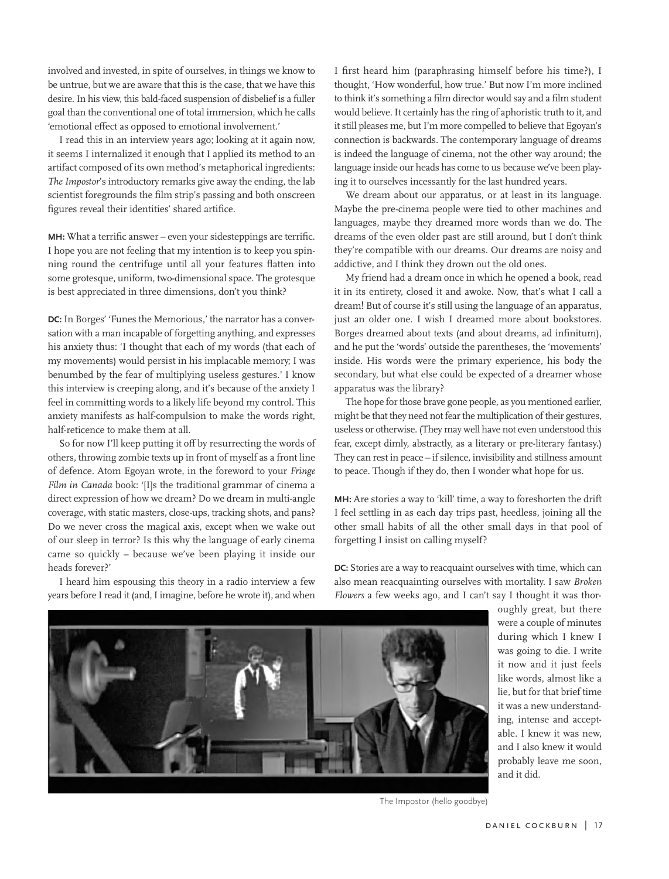involved and invested, in spite of ourselves, in things we know to be untrue, but we are aware that this is the case, that we have this desire. In his view, this bald-faced suspension of disbelief is a fuller goal than the conventional one of total immersion, which he calls 'emotional effect as opposed to emotional involvement.'

I read this in an interview years ago; looking at it again now, it seems I internalized it enough that I applied its method to an artifact composed of its own method's metaphorical ingredients: *The Impostor*'s introductory remarks give away the ending, the lab scientist foregrounds the film strip's passing and both onscreen figures reveal their identities' shared artifice.

**MH:** What a terrific answer – even your sidesteppings are terrific. I hope you are not feeling that my intention is to keep you spinning round the centrifuge until all your features flatten into some grotesque, uniform, two-dimensional space. The grotesque is best appreciated in three dimensions, don't you think?

**DC:** In Borges' 'Funes the Memorious,' the narrator has a conversation with a man incapable of forgetting anything, and expresses his anxiety thus: 'I thought that each of my words (that each of my movements) would persist in his implacable memory; I was benumbed by the fear of multiplying useless gestures.' I know this interview is creeping along, and it's because of the anxiety I feel in committing words to a likely life beyond my control. This anxiety manifests as half-compulsion to make the words right, half-reticence to make them at all.

So for now I'll keep putting it off by resurrecting the words of others, throwing zombie texts up in front of myself as a front line of defence. Atom Egoyan wrote, in the foreword to your *Fringe Film in Canada* book: '[I]s the traditional grammar of cinema a direct expression of how we dream? Do we dream in multi-angle coverage, with static masters, close-ups, tracking shots, and pans? Do we never cross the magical axis, except when we wake out of our sleep in terror? Is this why the language of early cinema came so quickly – because we've been playing it inside our heads forever?'

I heard him espousing this theory in a radio interview a few years before I read it (and, I imagine, before he wrote it), and when

I first heard him (paraphrasing himself before his time?), I thought, 'How wonderful, how true.' But now I'm more inclined to think it's something a film director would say and a film student would believe. It certainly has the ring of aphoristic truth to it, and it still pleases me, but I'm more compelled to believe that Egoyan's connection is backwards. The contemporary language of dreams is indeed the language of cinema, not the other way around; the language inside our heads has come to us because we've been playing it to ourselves incessantly for the last hundred years.

We dream about our apparatus, or at least in its language. Maybe the pre-cinema people were tied to other machines and languages, maybe they dreamed more words than we do. The dreams of the even older past are still around, but I don't think they're compatible with our dreams. Our dreams are noisy and addictive, and I think they drown out the old ones.

My friend had a dream once in which he opened a book, read it in its entirety, closed it and awoke. Now, that's what I call a dream! But of course it's still using the language of an apparatus, just an older one. I wish I dreamed more about bookstores. Borges dreamed about texts (and about dreams, ad infinitum), and he put the 'words' outside the parentheses, the 'movements' inside. His words were the primary experience, his body the secondary, but what else could be expected of a dreamer whose apparatus was the library?

The hope for those brave gone people, as you mentioned earlier, might be that they need not fear the multiplication of their gestures, useless or otherwise. (They may well have not even understood this fear, except dimly, abstractly, as a literary or pre-literary fantasy.) They can rest in peace – if silence, invisibility and stillness amount to peace. Though if they do, then I wonder what hope for us.

**MH:** Are stories a way to 'kill' time, a way to foreshorten the drift I feel settling in as each day trips past, heedless, joining all the other small habits of all the other small days in that pool of forgetting I insist on calling myself?

**DC:** Stories are a way to reacquaint ourselves with time, which can also mean reacquainting ourselves with mortality. I saw *Broken Flowers* a few weeks ago, and I can't say I thought it was thor-



oughly great, but there were a couple of minutes during which I knew I was going to die. I write it now and it just feels like words, almost like a lie, but for that brief time it was a new understanding, intense and acceptable. I knew it was new, and I also knew it would probably leave me soon, and it did.

The Impostor (hello goodbye)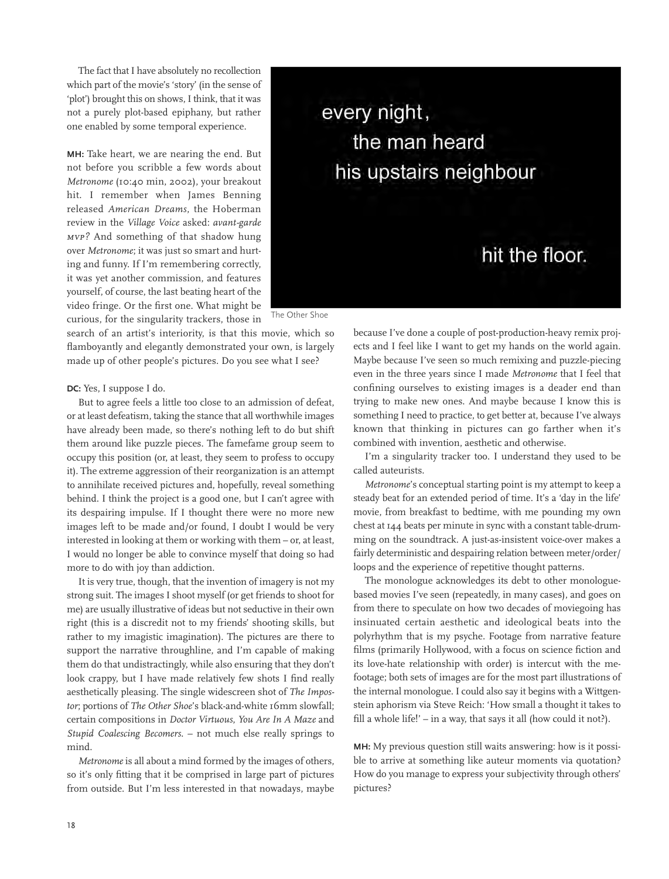The fact that I have absolutely no recollection which part of the movie's 'story' (in the sense of 'plot') brought this on shows, I think, that it was not a purely plot-based epiphany, but rather one enabled by some temporal experience.

**MH:** Take heart, we are nearing the end. But not before you scribble a few words about *Metro nome* (10:40 min, 2002), your breakout hit. I remember when James Benning released *American Dreams*, the Hoberman review in the *Village Voice* asked: *avant-garde mvp?* And something of that shadow hung over *Metronome*; it was just so smart and hurting and funny. If I'm remembering correctly, it was yet another commission, and features yourself, of course, the last beating heart of the video fringe. Or the first one. What might be curious, for the singularity trackers, those in

search of an artist's interiority, is that this movie, which so flamboyantly and elegantly demonstrated your own, is largely made up of other people's pictures. Do you see what I see?

**DC:** Yes, I suppose I do.

But to agree feels a little too close to an admission of defeat, or at least defeatism, taking the stance that all worthwhile images have already been made, so there's nothing left to do but shift them around like puzzle pieces. The famefame group seem to occupy this position (or, at least, they seem to profess to occupy it). The extreme aggression of their reorganization is an attempt to annihilate received pictures and, hopefully, reveal something behind. I think the project is a good one, but I can't agree with its despairing impulse. If I thought there were no more new images left to be made and/or found, I doubt I would be very interested in looking at them or working with them – or, at least, I would no longer be able to convince myself that doing so had more to do with joy than addiction.

It is very true, though, that the invention of imagery is not my strong suit. The images I shoot myself (or get friends to shoot for me) are usually illustrative of ideas but not seductive in their own right (this is a discredit not to my friends' shooting skills, but rather to my imagistic imagination). The pictures are there to support the narrative throughline, and I'm capable of making them do that undistractingly, while also ensuring that they don't look crappy, but I have made relatively few shots I find really aesthetically pleasing. The single widescreen shot of *The Impostor*; portions of *The Other Shoe*'s black-and-white 16mm slowfall; certain compositions in *Doctor Virtuous*, *You Are In A Maze* and *Stupid Coalescing Becomers.* – not much else really springs to mind.

*Metronome* is all about a mind formed by the images of others, so it's only fitting that it be comprised in large part of pictures from outside. But I'm less interested in that nowadays, maybe

# every night, the man heard his upstairs neighbour

### hit the floor.

The Other Shoe

because I've done a couple of post-production-heavy remix projects and I feel like I want to get my hands on the world again. Maybe because I've seen so much remixing and puzzle-piecing even in the three years since I made *Metronome* that I feel that confining ourselves to existing images is a deader end than trying to make new ones. And maybe because I know this is something I need to practice, to get better at, because I've always known that thinking in pictures can go farther when it's combined with invention, aesthetic and otherwise.

I'm a singularity tracker too. I understand they used to be called auteurists.

*Metronome*'s conceptual starting point is my attempt to keep a steady beat for an extended period of time. It's a 'day in the life' movie, from breakfast to bedtime, with me pounding my own chest at 144 beats per minute in sync with a constant table-drumming on the soundtrack. A just-as-insistent voice-over makes a fairly deterministic and despairing relation between meter/order/ loops and the experience of repetitive thought patterns.

The monologue acknowledges its debt to other monologuebased movies I've seen (repeatedly, in many cases), and goes on from there to speculate on how two decades of moviegoing has insinuated certain aesthetic and ideological beats into the polyrhythm that is my psyche. Footage from narrative feature films (primarily Hollywood, with a focus on science fiction and its love-hate relationship with order) is intercut with the mefootage; both sets of images are for the most part illustrations of the internal monologue. I could also say it begins with a Wittgenstein aphorism via Steve Reich: 'How small a thought it takes to fill a whole life!' – in a way, that says it all (how could it not?).

**MH:** My previous question still waits answering: how is it possible to arrive at something like auteur moments via quotation? How do you manage to express your subjectivity through others' pictures?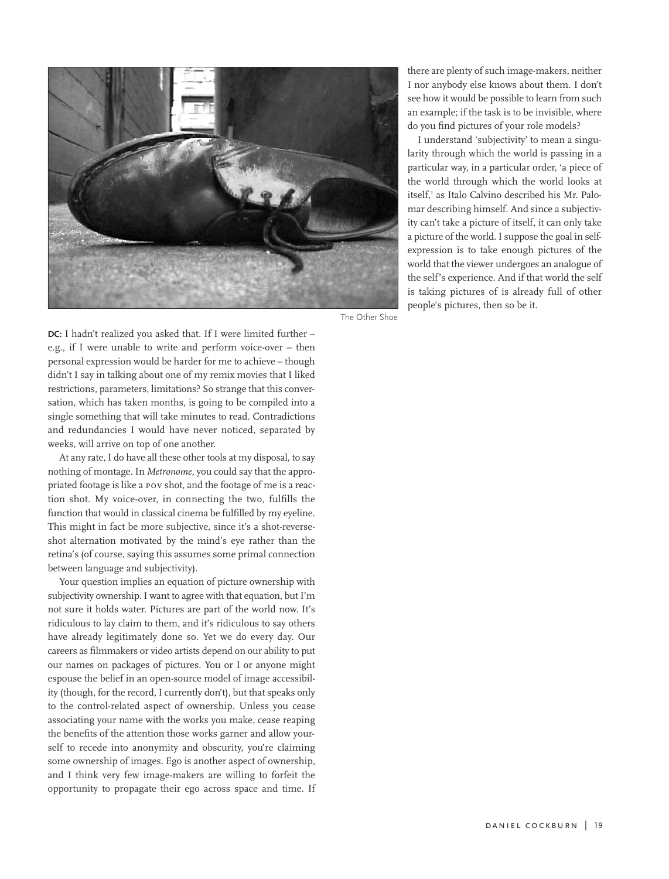

there are plenty of such image-makers, neither I nor anybody else knows about them. I don't see how it would be possible to learn from such an example; if the task is to be invisible, where do you find pictures of your role models?

I understand 'subjectivity' to mean a singularity through which the world is passing in a particular way, in a particular order, 'a piece of the world through which the world looks at itself,' as Italo Calvino described his Mr. Palomar describing himself. And since a subjectivity can't take a picture of itself, it can only take a picture of the world. I suppose the goal in selfexpression is to take enough pictures of the world that the viewer undergoes an analogue of the self's experience. And if that world the self is taking pictures of is already full of other people's pictures, then so be it.

The Other Shoe

**DC:** I hadn't realized you asked that. If I were limited further – e.g., if I were unable to write and perform voice-over – then personal expression would be harder for me to achieve – though didn't I say in talking about one of my remix movies that I liked restrictions, parameters, limitations? So strange that this conversation, which has taken months, is going to be compiled into a single something that will take minutes to read. Contradictions and redundancies I would have never noticed, separated by weeks, will arrive on top of one another.

At any rate, I do have all these other tools at my disposal, to say nothing of montage. In *Metronome*, you could say that the appropriated footage is like a *pov* shot, and the footage of me is a reaction shot. My voice-over, in connecting the two, fulfills the function that would in classical cinema be fulfilled by my eyeline. This might in fact be more subjective, since it's a shot-reverseshot alternation motivated by the mind's eye rather than the retina's (of course, saying this assumes some primal connection between language and subjectivity).

Your question implies an equation of picture ownership with subjectivity ownership. I want to agree with that equation, but I'm not sure it holds water. Pictures are part of the world now. It's ridiculous to lay claim to them, and it's ridiculous to say others have already legitimately done so. Yet we do every day. Our careers as filmmakers or video artists depend on our ability to put our names on packages of pictures. You or I or anyone might espouse the belief in an open-source model of image accessibility (though, for the record, I currently don't), but that speaks only to the control-related aspect of ownership. Unless you cease associating your name with the works you make, cease reaping the benefits of the attention those works garner and allow yourself to recede into anonymity and obscurity, you're claiming some ownership of images. Ego is another aspect of ownership, and I think very few image-makers are willing to forfeit the opportunity to propagate their ego across space and time. If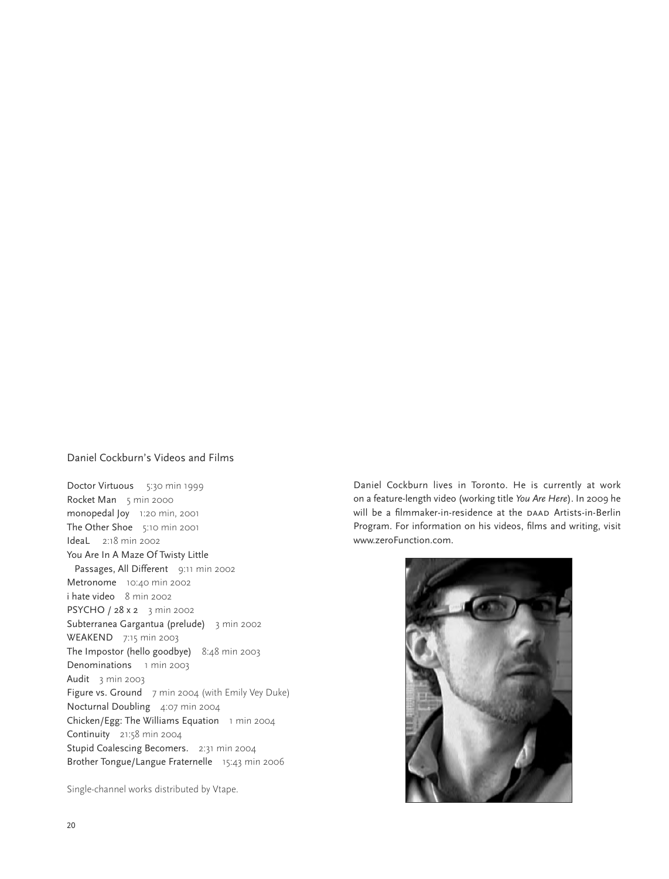#### Daniel Cockburn's Videos and Films

Doctor Virtuous 5:30 min 1999 Rocket Man 5 min 2000 monopedal Joy 1:20 min, 2001 The Other Shoe 5:10 min 2001 IdeaL 2:18 min 2002 You Are In A Maze Of Twisty Little Passages, All Different 9:11 min 2002 Metronome 10:40 min 2002 i hate video 8 min 2002 PSYCHO / 28 x 2 3 min 2002 Subterranea Gargantua (prelude) 3 min 2002 WEAKEND 7:15 min 2003 The Impostor (hello goodbye) 8:48 min 2003 Denominations 1 min 2003 Audit 3 min 2003 Figure vs. Ground 7 min 2004 (with Emily Vey Duke) Nocturnal Doubling 4:07 min 2004 Chicken/Egg: The Williams Equation 1 min 2004 Continuity 21:58 min 2004 Stupid Coalescing Becomers. 2:31 min 2004 Brother Tongue/Langue Fraternelle 15:43 min 2006

Single-channel works distributed by Vtape.

Daniel Cockburn lives in Toronto. He is currently at work on a feature-length video (working title *You Are Here*). In 2009 he will be a filmmaker-in-residence at the DAAD Artists-in-Berlin Program. For information on his videos, films and writing, visit www.zeroFunction.com.

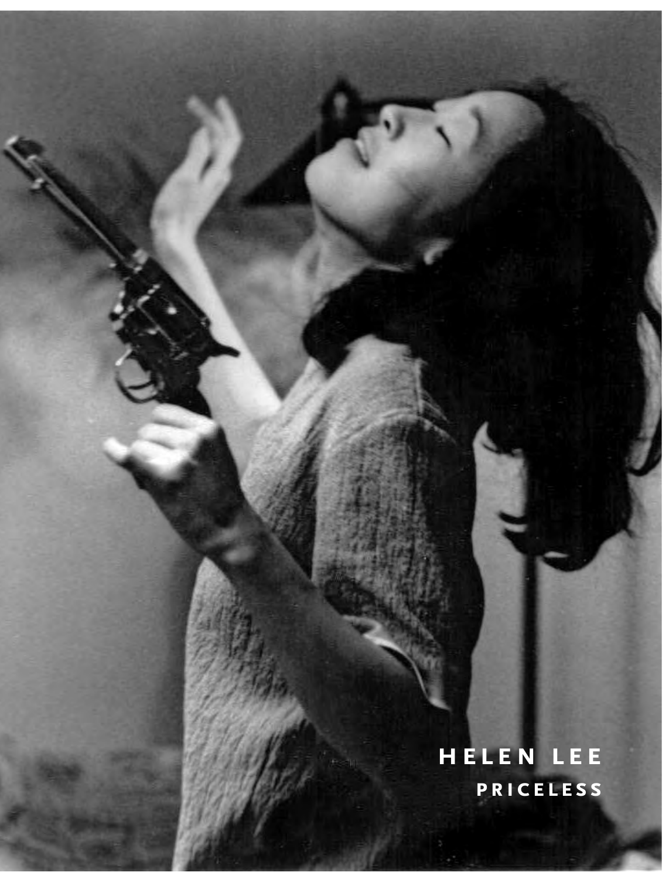# **helen lee priceless**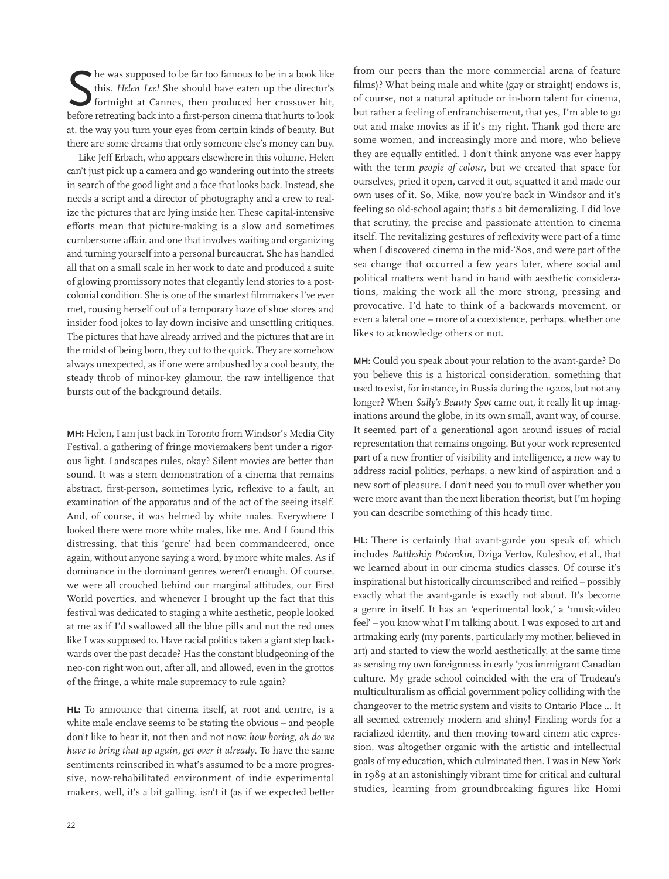She was supposed to be far too famous to be in a book like<br>this. Helen Lee! She should have eaten up the director's<br>fortnight at Cannes, then produced her crossover hit,<br>before retreating back into a first-person cinema th this. *Helen Lee!* She should have eaten up the director's fortnight at Cannes, then produced her crossover hit, before retreating back into a first-person cinema that hurts to look at, the way you turn your eyes from certain kinds of beauty. But there are some dreams that only someone else's money can buy.

Like Jeff Erbach, who appears elsewhere in this volume, Helen can't just pick up a camera and go wandering out into the streets in search of the good light and a face that looks back. Instead, she needs a script and a director of photography and a crew to realize the pictures that are lying inside her. These capital-intensive efforts mean that picture-making is a slow and sometimes cumbersome affair, and one that involves waiting and organizing and turning yourself into a personal bureaucrat. She has handled all that on a small scale in her work to date and produced a suite of glowing promissory notes that elegantly lend stories to a postcolonial condition. She is one of the smartest filmmakers I've ever met, rousing herself out of a temporary haze of shoe stores and insider food jokes to lay down incisive and unsettling critiques. The pictures that have already arrived and the pictures that are in the midst of being born, they cut to the quick. They are somehow always unexpected, as if one were ambushed by a cool beauty, the steady throb of minor-key glamour, the raw intelligence that bursts out of the background details.

**MH:** Helen, I am just back in Toronto from Windsor's Media City Festival, a gathering of fringe moviemakers bent under a rigorous light. Landscapes rules, okay? Silent movies are better than sound. It was a stern demonstration of a cinema that remains abstract, first-person, sometimes lyric, reflexive to a fault, an examination of the apparatus and of the act of the seeing itself. And, of course, it was helmed by white males. Everywhere I looked there were more white males, like me. And I found this distressing, that this 'genre' had been commandeered, once again, without anyone saying a word, by more white males. As if dominance in the dominant genres weren't enough. Of course, we were all crouched behind our marginal attitudes, our First World poverties, and whenever I brought up the fact that this festival was dedicated to staging a white aesthetic, people looked at me as if I'd swallowed all the blue pills and not the red ones like I was supposed to. Have racial politics taken a giant step backwards over the past decade? Has the constant bludgeoning of the neo-con right won out, after all, and allowed, even in the grottos of the fringe, a white male supremacy to rule again?

**HL:** To announce that cinema itself, at root and centre, is a white male enclave seems to be stating the obvious – and people don't like to hear it, not then and not now: *how boring, oh do we have to bring that up again, get over it already*. To have the same sentiments reinscribed in what's assumed to be a more progressive, now-rehabilitated environment of indie experimental makers, well, it's a bit galling, isn't it (as if we expected better

from our peers than the more commercial arena of feature films)? What being male and white (gay or straight) endows is, of course, not a natural aptitude or in-born talent for cinema, but rather a feeling of enfranchisement, that yes, I'm able to go out and make movies as if it's my right. Thank god there are some women, and increasingly more and more, who believe they are equally entitled. I don't think anyone was ever happy with the term *people of colour*, but we created that space for ourselves, pried it open, carved it out, squatted it and made our own uses of it. So, Mike, now you're back in Windsor and it's feeling so old-school again; that's a bit demoralizing. I did love that scrutiny, the precise and passionate attention to cinema itself. The revitalizing gestures of reflexivity were part of a time when I discovered cinema in the mid-'80s, and were part of the sea change that occurred a few years later, where social and political matters went hand in hand with aesthetic considerations, making the work all the more strong, pressing and provocative. I'd hate to think of a backwards movement, or even a lateral one – more of a coexistence, perhaps, whether one likes to acknowledge others or not.

**MH:** Could you speak about your relation to the avant-garde? Do you believe this is a historical consideration, something that used to exist, for instance, in Russia during the 1920s, but not any longer? When *Sally's Beauty Spot* came out, it really lit up imaginations around the globe, in its own small, avant way, of course. It seemed part of a generational agon around issues of racial representation that remains ongoing. But your work represented part of a new frontier of visibility and intelligence, a new way to address racial politics, perhaps, a new kind of aspiration and a new sort of pleasure. I don't need you to mull over whether you were more avant than the next liberation theorist, but I'm hoping you can describe something of this heady time.

**HL:** There is certainly that avant-garde you speak of, which includes *Battleship Potemkin*, Dziga Vertov, Kuleshov, et al., that we learned about in our cinema studies classes. Of course it's inspirational but historically circumscribed and reified – possibly exactly what the avant-garde is exactly not about. It's become a genre in itself. It has an 'experimental look,' a 'music-video feel' – you know what I'm talking about. I was exposed to art and artmaking early (my parents, particularly my mother, believed in art) and started to view the world aesthetically, at the same time as sensing my own foreignness in early '70s immigrant Canadian culture. My grade school coincided with the era of Trudeau's multiculturalism as official government policy colliding with the changeover to the metric system and visits to Ontario Place … It all seemed extremely modern and shiny! Finding words for a racialized identity, and then moving toward cinem atic expression, was altogether organic with the artistic and intellectual goals of my education, which culminated then. I was in New York in 1989 at an astonishingly vibrant time for critical and cultural studies, learning from groundbreaking figures like Homi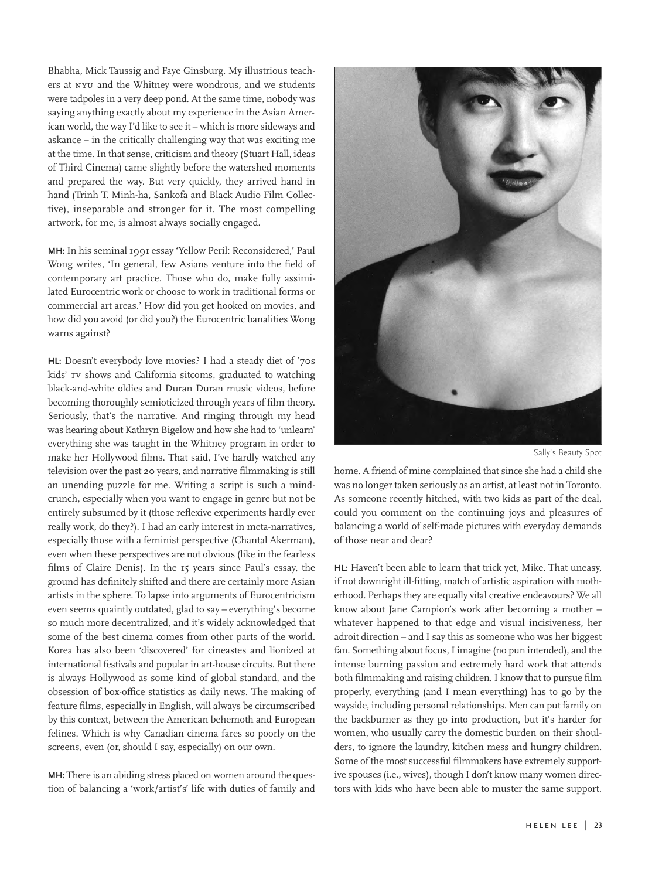Bhabha, Mick Taussig and Faye Ginsburg. My illustrious teachers at *nyu* and the Whitney were wondrous, and we students were tadpoles in a very deep pond. At the same time, nobody was saying anything exactly about my experience in the Asian American world, the way I'd like to see it – which is more sideways and askance – in the critically challenging way that was exciting me at the time. In that sense, criticism and theory (Stuart Hall, ideas of Third Cinema) came slightly before the watershed moments and prepared the way. But very quickly, they arrived hand in hand (Trinh T. Minh-ha, Sankofa and Black Audio Film Collective), inseparable and stronger for it. The most compelling artwork, for me, is almost always socially engaged.

**MH:** In his seminal 1991 essay 'Yellow Peril: Reconsidered,' Paul Wong writes, 'In general, few Asians venture into the field of contemporary art practice. Those who do, make fully assimilated Eurocentric work or choose to work in traditional forms or commercial art areas.' How did you get hooked on movies, and how did you avoid (or did you?) the Eurocentric banalities Wong warns against?

**HL:** Doesn't everybody love movies? I had a steady diet of '70s kids' *tv* shows and California sitcoms, graduated to watching black-and-white oldies and Duran Duran music videos, before becoming thoroughly semioticized through years of film theory. Seriously, that's the narrative. And ringing through my head was hearing about Kathryn Bigelow and how she had to 'unlearn' everything she was taught in the Whitney program in order to make her Hollywood films. That said, I've hardly watched any television over the past 20 years, and narrative filmmaking is still an unending puzzle for me. Writing a script is such a mindcrunch, especially when you want to engage in genre but not be entirely subsumed by it (those reflexive experiments hardly ever really work, do they?). I had an early interest in meta-narratives, especially those with a feminist perspective (Chantal Akerman), even when these perspectives are not obvious (like in the fearless films of Claire Denis). In the 15 years since Paul's essay, the ground has definitely shifted and there are certainly more Asian artists in the sphere. To lapse into arguments of Eurocentricism even seems quaintly outdated, glad to say – everything's become so much more decentralized, and it's widely acknowledged that some of the best cinema comes from other parts of the world. Korea has also been 'discovered' for cineastes and lionized at international festivals and popular in art-house circuits. But there is always Hollywood as some kind of global standard, and the obsession of box-office statistics as daily news. The making of feature films, especially in English, will always be circumscribed by this context, between the American behemoth and European felines. Which is why Canadian cinema fares so poorly on the screens, even (or, should I say, especially) on our own.

**MH:** There is an abiding stress placed on women around the question of balancing a 'work/artist's' life with duties of family and



Sally's Beauty Spot

home. A friend of mine complained that since she had a child she was no longer taken seriously as an artist, at least not in Toronto. As someone recently hitched, with two kids as part of the deal, could you comment on the continuing joys and pleasures of balancing a world of self-made pictures with everyday demands of those near and dear?

**HL:** Haven't been able to learn that trick yet, Mike. That uneasy, if not downright ill-fitting, match of artistic aspiration with motherhood. Perhaps they are equally vital creative endeavours? We all know about Jane Campion's work after becoming a mother – whatever happened to that edge and visual incisiveness, her adroit direction – and I say this as someone who was her biggest fan. Something about focus, I imagine (no pun intended), and the intense burning passion and extremely hard work that attends both filmmaking and raising children. I know that to pursue film properly, everything (and I mean everything) has to go by the wayside, including personal relationships. Men can put family on the backburner as they go into production, but it's harder for women, who usually carry the domestic burden on their shoulders, to ignore the laundry, kitchen mess and hungry children. Some of the most successful filmmakers have extremely supportive spouses (i.e., wives), though I don't know many women directors with kids who have been able to muster the same support.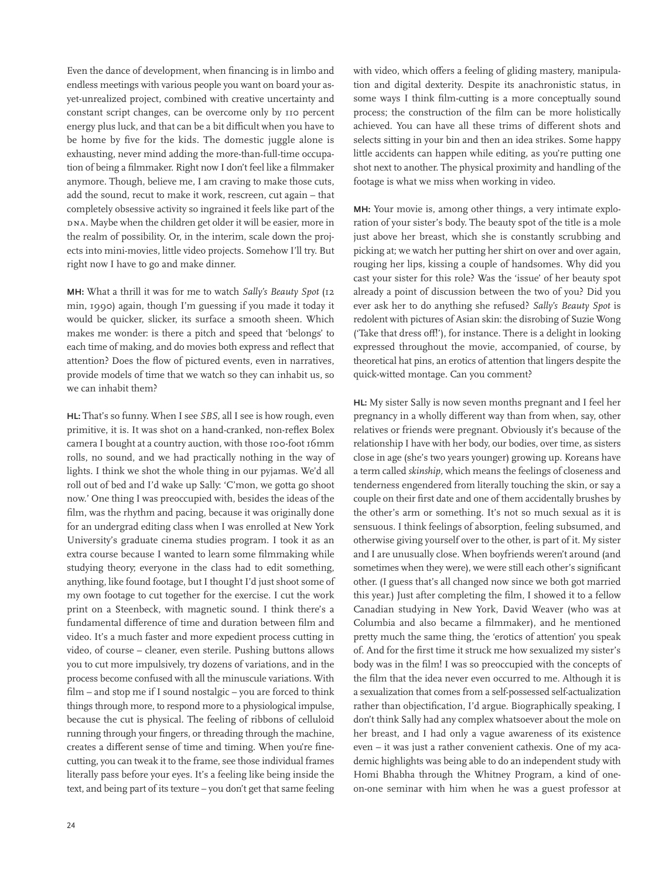Even the dance of development, when financing is in limbo and endless meetings with various people you want on board your asyet-unrealized project, combined with creative uncertainty and constant script changes, can be overcome only by 110 percent energy plus luck, and that can be a bit difficult when you have to be home by five for the kids. The domestic juggle alone is exhausting, never mind adding the more-than-full-time occupation of being a filmmaker. Right now I don't feel like a filmmaker anymore. Though, believe me, I am craving to make those cuts, add the sound, recut to make it work, rescreen, cut again – that completely obsessive activity so ingrained it feels like part of the *dna*. Maybe when the children get older it will be easier, more in the realm of possibility. Or, in the interim, scale down the projects into mini-movies, little video projects. Somehow I'll try. But right now I have to go and make dinner.

**MH:** What a thrill it was for me to watch *Sally's Beauty Spot* (12 min, 1990) again, though I'm guessing if you made it today it would be quicker, slicker, its surface a smooth sheen. Which makes me wonder: is there a pitch and speed that 'belongs' to each time of making, and do movies both express and reflect that attention? Does the flow of pictured events, even in narratives, provide models of time that we watch so they can inhabit us, so we can inhabit them?

**HL:** That's so funny. When I see *SBS,* all I see is how rough, even primitive, it is. It was shot on a hand-cranked, non-reflex Bolex camera I bought at a country auction, with those 100-foot 16mm rolls, no sound, and we had practically nothing in the way of lights. I think we shot the whole thing in our pyjamas. We'd all roll out of bed and I'd wake up Sally: 'C'mon, we gotta go shoot now.' One thing I was preoccupied with, besides the ideas of the film, was the rhythm and pacing, because it was originally done for an undergrad editing class when I was enrolled at New York University's graduate cinema studies program. I took it as an extra course because I wanted to learn some filmmaking while studying theory; everyone in the class had to edit something, anything, like found footage, but I thought I'd just shoot some of my own footage to cut together for the exercise. I cut the work print on a Steenbeck, with magnetic sound. I think there's a fundamental difference of time and duration between film and video. It's a much faster and more expedient process cutting in video, of course – cleaner, even sterile. Pushing buttons allows you to cut more impulsively, try dozens of variations, and in the process become confused with all the minuscule variations. With film – and stop me if I sound nostalgic – you are forced to think things through more, to respond more to a physiological impulse, because the cut is physical. The feeling of ribbons of celluloid running through your fingers, or threading through the machine, creates a different sense of time and timing. When you're finecutting, you can tweak it to the frame, see those individual frames literally pass before your eyes. It's a feeling like being inside the text, and being part of its texture – you don't get that same feeling

with video, which offers a feeling of gliding mastery, manipulation and digital dexterity. Despite its anachronistic status, in some ways I think film-cutting is a more conceptually sound process; the construction of the film can be more holistically achieved. You can have all these trims of different shots and selects sitting in your bin and then an idea strikes. Some happy little accidents can happen while editing, as you're putting one shot next to another. The physical proximity and handling of the footage is what we miss when working in video.

**MH:** Your movie is, among other things, a very intimate exploration of your sister's body. The beauty spot of the title is a mole just above her breast, which she is constantly scrubbing and picking at; we watch her putting her shirt on over and over again, rouging her lips, kissing a couple of handsomes. Why did you cast your sister for this role? Was the 'issue' of her beauty spot already a point of discussion between the two of you? Did you ever ask her to do anything she refused? *Sally's Beauty Spot* is redolent with pictures of Asian skin: the disrobing of Suzie Wong ('Take that dress off!'), for instance. There is a delight in looking expressed throughout the movie, accompanied, of course, by theoretical hat pins, an erotics of attention that lingers despite the quick-witted montage. Can you comment?

**HL:** My sister Sally is now seven months pregnant and I feel her pregnancy in a wholly different way than from when, say, other relatives or friends were pregnant. Obviously it's because of the relationship I have with her body, our bodies, over time, as sisters close in age (she's two years younger) growing up. Koreans have a term called *skinship,* which means the feelings of closeness and tenderness engendered from literally touching the skin, or say a couple on their first date and one of them accidentally brushes by the other's arm or something. It's not so much sexual as it is sensuous. I think feelings of absorption, feeling subsumed, and otherwise giving yourself over to the other, is part of it. My sister and I are unusually close. When boyfriends weren't around (and sometimes when they were), we were still each other's significant other. (I guess that's all changed now since we both got married this year.) Just after completing the film, I showed it to a fellow Canadian studying in New York, David Weaver (who was at Columbia and also became a filmmaker), and he mentioned pretty much the same thing, the 'erotics of attention' you speak of. And for the first time it struck me how sexualized my sister's body was in the film! I was so preoccupied with the concepts of the film that the idea never even occurred to me. Although it is a sexualization that comes from a self-possessed self-actualization rather than objectification, I'd argue. Biographically speaking, I don't think Sally had any complex whatsoever about the mole on her breast, and I had only a vague awareness of its existence even – it was just a rather convenient cathexis. One of my academic highlights was being able to do an independent study with Homi Bhabha through the Whitney Program, a kind of oneon-one seminar with him when he was a guest professor at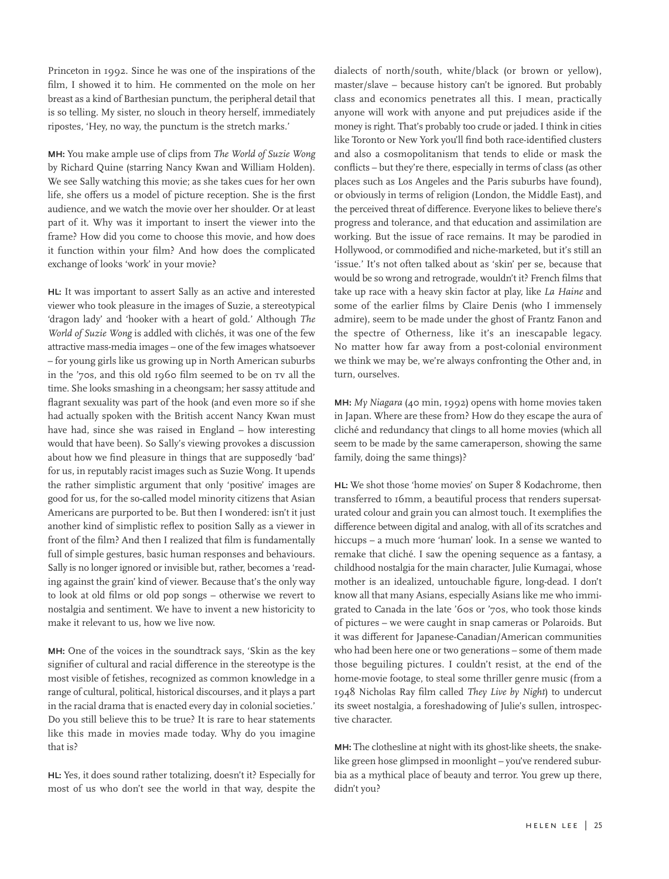Princeton in 1992. Since he was one of the inspirations of the film, I showed it to him. He commented on the mole on her breast as a kind of Barthesian punctum, the peripheral detail that is so telling. My sister, no slouch in theory herself, immediately ripostes, 'Hey, no way, the punctum is the stretch marks.'

**MH:** You make ample use of clips from *The World of Suzie Wong* by Richard Quine (starring Nancy Kwan and William Holden). We see Sally watching this movie; as she takes cues for her own life, she offers us a model of picture reception. She is the first audience, and we watch the movie over her shoulder. Or at least part of it. Why was it important to insert the viewer into the frame? How did you come to choose this movie, and how does it function within your film? And how does the complicated exchange of looks 'work' in your movie?

**HL:** It was important to assert Sally as an active and interested viewer who took pleasure in the images of Suzie, a stereotypical 'dragon lady' and 'hooker with a heart of gold.' Although *The World of Suzie Wong* is addled with clichés, it was one of the few attractive mass-media images – one of the few images whatsoever – for young girls like us growing up in North American suburbs in the '70s, and this old 1960 film seemed to be on *tv* all the time. She looks smashing in a cheongsam; her sassy attitude and flagrant sexuality was part of the hook (and even more so if she had actually spoken with the British accent Nancy Kwan must have had, since she was raised in England – how interesting would that have been). So Sally's viewing provokes a discussion about how we find pleasure in things that are supposedly 'bad' for us, in reputably racist images such as Suzie Wong. It upends the rather simplistic argument that only 'positive' images are good for us, for the so-called model minority citizens that Asian Americans are purported to be. But then I wondered: isn't it just another kind of simplistic reflex to position Sally as a viewer in front of the film? And then I realized that film is fundamentally full of simple gestures, basic human responses and behaviours. Sally is no longer ignored or invisible but, rather, becomes a 'reading against the grain' kind of viewer. Because that's the only way to look at old films or old pop songs – otherwise we revert to nostalgia and sentiment. We have to invent a new historicity to make it relevant to us, how we live now.

**MH:** One of the voices in the soundtrack says, 'Skin as the key signifier of cultural and racial difference in the stereotype is the most visible of fetishes, recognized as common knowledge in a range of cultural, political, historical discourses, and it plays a part in the racial drama that is enacted every day in colonial societies.' Do you still believe this to be true? It is rare to hear statements like this made in movies made today. Why do you imagine that is?

**HL:** Yes, it does sound rather totalizing, doesn't it? Especially for most of us who don't see the world in that way, despite the

dialects of north/south, white/black (or brown or yellow), master/slave – because history can't be ignored. But probably class and economics penetrates all this. I mean, practically anyone will work with anyone and put prejudices aside if the money is right. That's probably too crude or jaded. I think in cities like Toronto or New York you'll find both race-identified clusters and also a cosmopolitanism that tends to elide or mask the conflicts – but they're there, especially in terms of class (as other places such as Los Angeles and the Paris suburbs have found), or obviously in terms of religion (London, the Middle East), and the perceived threat of difference. Everyone likes to believe there's progress and tolerance, and that education and assimilation are working. But the issue of race remains. It may be parodied in Hollywood, or commodified and niche-marketed, but it's still an 'issue.' It's not often talked about as 'skin' per se, because that would be so wrong and retrograde, wouldn't it? French films that take up race with a heavy skin factor at play, like *La Haine* and some of the earlier films by Claire Denis (who I immensely admire), seem to be made under the ghost of Frantz Fanon and the spectre of Otherness, like it's an inescapable legacy. No matter how far away from a post-colonial environment we think we may be, we're always confronting the Other and, in turn, ourselves.

**MH:** *My Niagara* (40 min, 1992) opens with home movies taken in Japan. Where are these from? How do they escape the aura of cliché and redundancy that clings to all home movies (which all seem to be made by the same cameraperson, showing the same family, doing the same things)?

**HL:** We shot those 'home movies' on Super 8 Kodachrome, then transferred to 16mm, a beautiful process that renders supersaturated colour and grain you can almost touch. It exemplifies the difference between digital and analog, with all of its scratches and hiccups – a much more 'human' look. In a sense we wanted to remake that cliché. I saw the opening sequence as a fantasy, a childhood nostalgia for the main character, Julie Kumagai, whose mother is an idealized, untouchable figure, long-dead. I don't know all that many Asians, especially Asians like me who immigrated to Canada in the late '60s or '70s, who took those kinds of pictures – we were caught in snap cameras or Polaroids. But it was different for Japanese-Canadian/American communities who had been here one or two generations – some of them made those beguiling pictures. I couldn't resist, at the end of the home-movie footage, to steal some thriller genre music (from a 1948 Nicholas Ray film called *They Live by Night*) to undercut its sweet nostalgia, a foreshadowing of Julie's sullen, introspective character.

**MH:** The clothesline at night with its ghost-like sheets, the snakelike green hose glimpsed in moonlight – you've rendered suburbia as a mythical place of beauty and terror. You grew up there, didn't you?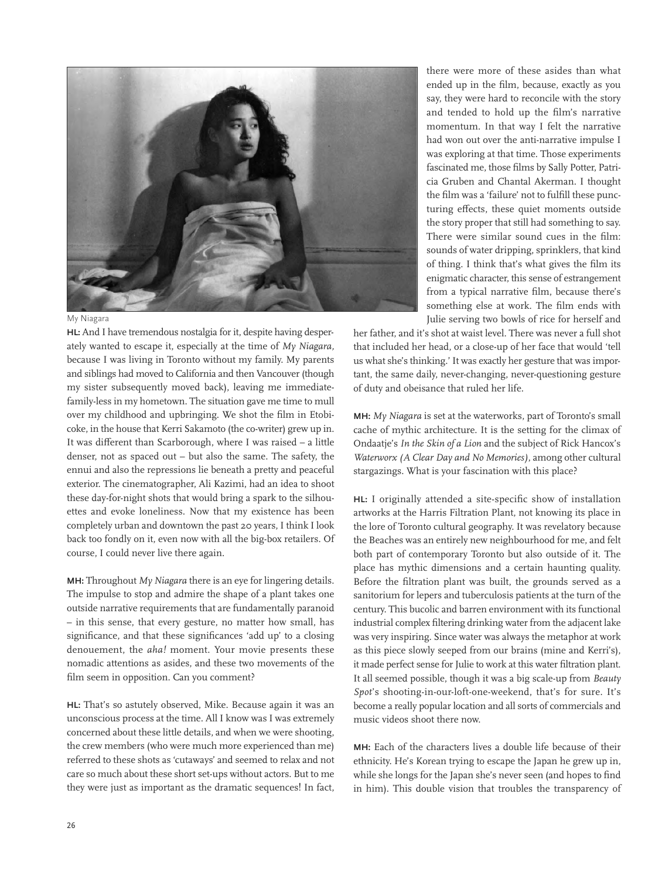



**HL:** And I have tremendous nostalgia for it, despite having desperately wanted to escape it, especially at the time of *My Niagara,* because I was living in Toronto without my family. My parents and siblings had moved to California and then Vancouver (though my sister subsequently moved back), leaving me immediatefamily-less in my hometown. The situation gave me time to mull over my childhood and upbringing. We shot the film in Etobicoke, in the house that Kerri Sakamoto (the co-writer) grew up in. It was different than Scarborough, where I was raised – a little denser, not as spaced out – but also the same. The safety, the ennui and also the repressions lie beneath a pretty and peaceful exterior. The cinematographer, Ali Kazimi, had an idea to shoot these day-for-night shots that would bring a spark to the silhouettes and evoke loneliness. Now that my existence has been completely urban and downtown the past 20 years, I think I look back too fondly on it, even now with all the big-box retailers. Of course, I could never live there again.

**MH:** Throughout *My Niagara* there is an eye for lingering details. The impulse to stop and admire the shape of a plant takes one outside narrative requirements that are fundamentally paranoid – in this sense, that every gesture, no matter how small, has significance, and that these significances 'add up' to a closing denouement, the *aha!* moment. Your movie presents these nomadic attentions as asides, and these two movements of the film seem in opposition. Can you comment?

**HL:** That's so astutely observed, Mike. Because again it was an unconscious process at the time. All I know was I was extremely concerned about these little details, and when we were shooting, the crew members (who were much more experienced than me) referred to these shots as 'cutaways' and seemed to relax and not care so much about these short set-ups without actors. But to me they were just as important as the dramatic sequences! In fact, there were more of these asides than what ended up in the film, because, exactly as you say, they were hard to reconcile with the story and tended to hold up the film's narrative momentum. In that way I felt the narrative had won out over the anti-narrative impulse I was exploring at that time. Those experiments fascinated me, those films by Sally Potter, Patricia Gruben and Chantal Akerman. I thought the film was a 'failure' not to fulfill these puncturing effects, these quiet moments outside the story proper that still had something to say. There were similar sound cues in the film: sounds of water dripping, sprinklers, that kind of thing. I think that's what gives the film its enigmatic character, this sense of estrangement from a typical narrative film, because there's something else at work. The film ends with Julie serving two bowls of rice for herself and

her father, and it's shot at waist level. There was never a full shot that included her head, or a close-up of her face that would 'tell us what she's thinking.' It was exactly her gesture that was important, the same daily, never-changing, never-questioning gesture of duty and obeisance that ruled her life.

**MH:** *My Niagara* is set at the waterworks, part of Toronto's small cache of mythic architecture. It is the setting for the climax of Ondaatje's *In the Skin of a Lion* and the subject of Rick Hancox's *Waterworx (A Clear Day and No Memories)*, among other cultural stargazings. What is your fascination with this place?

**HL:** I originally attended a site-specific show of installation artworks at the Harris Filtration Plant, not knowing its place in the lore of Toronto cultural geography. It was revelatory because the Beaches was an entirely new neighbourhood for me, and felt both part of contemporary Toronto but also outside of it. The place has mythic dimensions and a certain haunting quality. Before the filtration plant was built, the grounds served as a sanitorium for lepers and tuberculosis patients at the turn of the century. This bucolic and barren environment with its functional industrial complex filtering drinking water from the adjacent lake was very inspiring. Since water was always the metaphor at work as this piece slowly seeped from our brains (mine and Kerri's), it made perfect sense for Julie to work at this water filtration plant. It all seemed possible, though it was a big scale-up from *Beauty Spot*'s shooting-in-our-loft-one-weekend, that's for sure. It's become a really popular location and all sorts of commercials and music videos shoot there now.

**MH:** Each of the characters lives a double life because of their ethnicity. He's Korean trying to escape the Japan he grew up in, while she longs for the Japan she's never seen (and hopes to find in him). This double vision that troubles the transparency of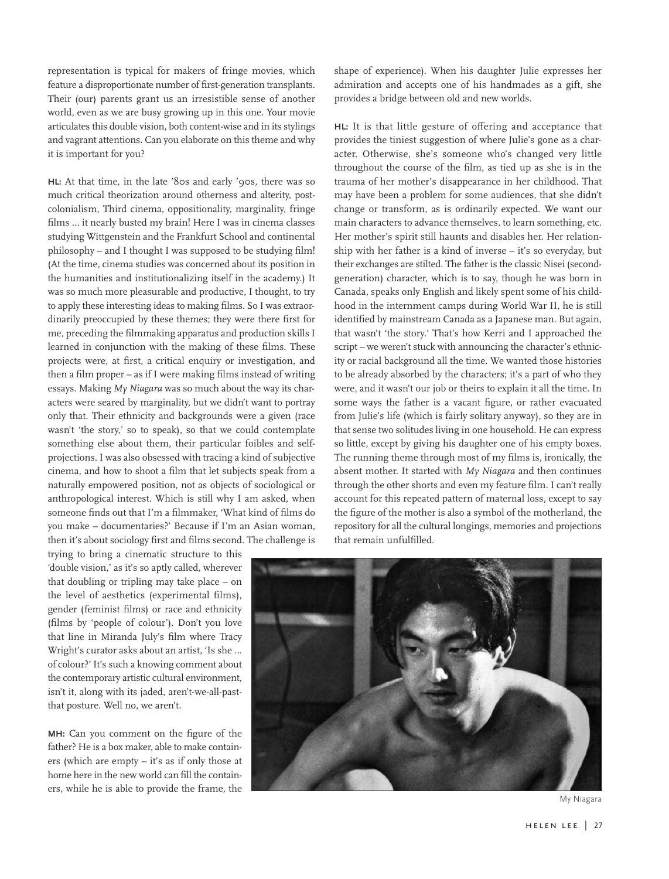representation is typical for makers of fringe movies, which feature a disproportionate number of first-generation transplants. Their (our) parents grant us an irresistible sense of another world, even as we are busy growing up in this one. Your movie articulates this double vision, both content-wise and in its stylings and vagrant attentions. Can you elaborate on this theme and why it is important for you?

**HL:** At that time, in the late '80s and early '90s, there was so much critical theorization around otherness and alterity, post colonialism, Third cinema, oppositionality, marginality, fringe films … it nearly busted my brain! Here I was in cinema classes studying Wittgenstein and the Frankfurt School and continental philosophy – and I thought I was supposed to be studying film! (At the time, cinema studies was concerned about its position in the humanities and institutionalizing itself in the academy.) It was so much more pleasurable and productive, I thought, to try to apply these interesting ideas to making films. So I was extraordinarily preoccupied by these themes; they were there first for me, preceding the filmmaking apparatus and production skills I learned in conjunction with the making of these films. These projects were, at first, a critical enquiry or investigation, and then a film proper – as if I were making films instead of writing essays. Making *My Niagara* was so much about the way its characters were seared by marginality, but we didn't want to portray only that. Their ethnicity and backgrounds were a given (race wasn't 'the story,' so to speak), so that we could contemplate something else about them, their particular foibles and selfprojections. I was also obsessed with tracing a kind of subjective cinema, and how to shoot a film that let subjects speak from a naturally empowered position, not as objects of sociological or anthropological interest. Which is still why I am asked, when someone finds out that I'm a filmmaker, 'What kind of films do you make – documentaries?' Because if I'm an Asian woman, then it's about sociology first and films second. The challenge is

trying to bring a cinematic structure to this 'double vision,' as it's so aptly called, wherever that doubling or tripling may take place – on the level of aesthetics (experimental films), gender (feminist films) or race and ethnicity (films by 'people of colour'). Don't you love that line in Miranda July's film where Tracy Wright's curator asks about an artist, 'Is she … of colour?' It's such a knowing comment about the contemporary artistic cultural environment, isn't it, along with its jaded, aren't-we-all-pastthat posture. Well no, we aren't.

**MH:** Can you comment on the figure of the father? He is a box maker, able to make containers (which are empty – it's as if only those at home here in the new world can fill the containers, while he is able to provide the frame, the

shape of experience). When his daughter Julie expresses her admiration and accepts one of his handmades as a gift, she provides a bridge between old and new worlds.

HL: It is that little gesture of offering and acceptance that provides the tiniest suggestion of where Julie's gone as a character. Otherwise, she's someone who's changed very little throughout the course of the film, as tied up as she is in the trauma of her mother's disappearance in her childhood. That may have been a problem for some audiences, that she didn't change or transform, as is ordinarily expected. We want our main characters to advance themselves, to learn something, etc. Her mother's spirit still haunts and disables her. Her relationship with her father is a kind of inverse – it's so everyday, but their exchanges are stilted. The father is the classic Nisei (secondgeneration) character, which is to say, though he was born in Canada, speaks only English and likely spent some of his childhood in the internment camps during World War II, he is still identified by mainstream Canada as a Japanese man. But again, that wasn't 'the story.' That's how Kerri and I approached the script – we weren't stuck with announcing the character's ethnicity or racial background all the time. We wanted those histories to be already absorbed by the characters; it's a part of who they were, and it wasn't our job or theirs to explain it all the time. In some ways the father is a vacant figure, or rather evacuated from Julie's life (which is fairly solitary anyway), so they are in that sense two solitudes living in one household. He can express so little, except by giving his daughter one of his empty boxes. The running theme through most of my films is, ironically, the absent mother. It started with *My Niagara* and then continues through the other shorts and even my feature film. I can't really account for this repeated pattern of maternal loss, except to say the figure of the mother is also a symbol of the motherland, the repository for all the cultural longings, memories and projections that remain unfulfilled.



My Niagara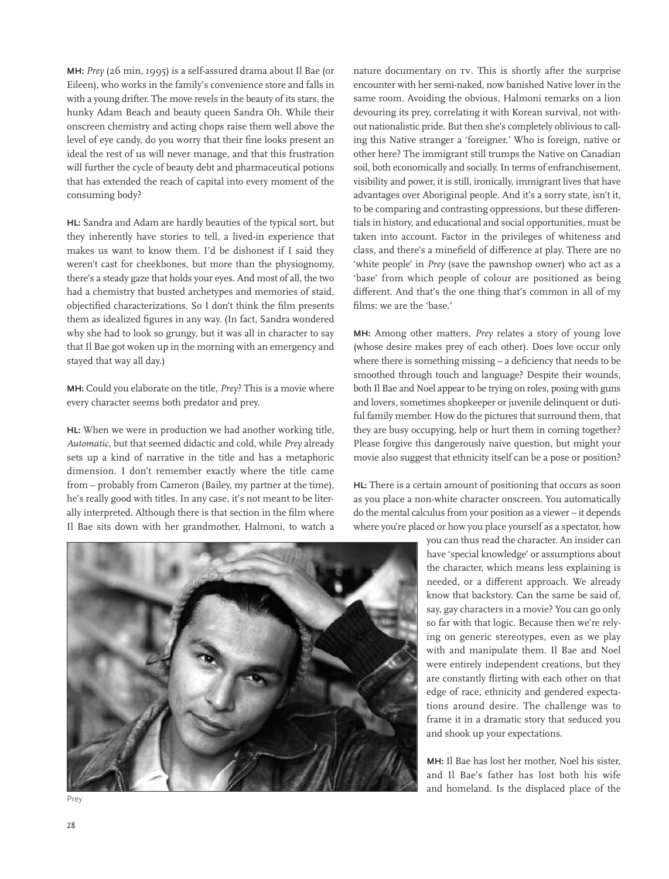**MH:** *Prey* (26 min, 1995) is a self-assured drama about Il Bae (or Eileen), who works in the family's convenience store and falls in with a young drifter. The move revels in the beauty of its stars, the hunky Adam Beach and beauty queen Sandra Oh. While their onscreen chemistry and acting chops raise them well above the level of eye candy, do you worry that their fine looks present an ideal the rest of us will never manage, and that this frustration will further the cycle of beauty debt and pharmaceutical potions that has extended the reach of capital into every moment of the consuming body?

**HL:** Sandra and Adam are hardly beauties of the typical sort, but they inherently have stories to tell, a lived-in experience that makes us want to know them. I'd be dishonest if I said they weren't cast for cheekbones, but more than the physiognomy, there's a steady gaze that holds your eyes. And most of all, the two had a chemistry that busted archetypes and memories of staid, objectified characterizations. So I don't think the film presents them as idealized figures in any way. (In fact, Sandra wondered why she had to look so grungy, but it was all in character to say that Il Bae got woken up in the morning with an emergency and stayed that way all day.)

**MH:** Could you elaborate on the title, *Prey*? This is a movie where every character seems both predator and prey.

**HL:** When we were in production we had another working title, *Automatic*, but that seemed didactic and cold, while *Prey* already sets up a kind of narrative in the title and has a metaphoric dimension. I don't remember exactly where the title came from – probably from Cameron (Bailey, my partner at the time), he's really good with titles. In any case, it's not meant to be literally interpreted. Although there is that section in the film where Il Bae sits down with her grandmother, Halmoni, to watch a

nature documentary on *tv*. This is shortly after the surprise encounter with her semi-naked, now banished Native lover in the same room. Avoiding the obvious, Halmoni remarks on a lion devouring its prey, correlating it with Korean survival, not without nationalistic pride. But then she's completely oblivious to calling this Native stranger a 'foreigner.' Who is foreign, native or other here? The immigrant still trumps the Native on Canadian soil, both economically and socially. In terms of enfranchisement, visibility and power, it is still, ironically, immigrant lives that have advantages over Aboriginal people. And it's a sorry state, isn't it, to be comparing and contrasting oppressions, but these differentials in history, and educational and social opportunities, must be taken into account. Factor in the privileges of whiteness and class, and there's a minefield of difference at play. There are no 'white people' in *Prey* (save the pawnshop owner) who act as a 'base' from which people of colour are positioned as being different. And that's the one thing that's common in all of my films: we are the 'base.'

**MH:** Among other matters, *Prey* relates a story of young love (whose desire makes prey of each other). Does love occur only where there is something missing – a deficiency that needs to be smoothed through touch and language? Despite their wounds, both Il Bae and Noel appear to be trying on roles, posing with guns and lovers, sometimes shopkeeper or juvenile delinquent or dutiful family member. How do the pictures that surround them, that they are busy occupying, help or hurt them in coming together? Please forgive this dangerously naive question, but might your movie also suggest that ethnicity itself can be a pose or position?

**HL:** There is a certain amount of positioning that occurs as soon as you place a non-white character onscreen. You automatically do the mental calculus from your position as a viewer – it depends where you're placed or how you place yourself as a spectator, how



you can thus read the character. An insider can have 'special knowledge' or assumptions about the character, which means less explaining is needed, or a different approach. We already know that backstory. Can the same be said of, say, gay characters in a movie? You can go only so far with that logic. Because then we're relying on generic stereotypes, even as we play with and manipulate them. Il Bae and Noel were entirely independent creations, but they are constantly flirting with each other on that edge of race, ethnicity and gendered expectations around desire. The challenge was to frame it in a dramatic story that seduced you and shook up your expectations.

**MH:** Il Bae has lost her mother, Noel his sister, and Il Bae's father has lost both his wife and homeland. Is the displaced place of the

Prey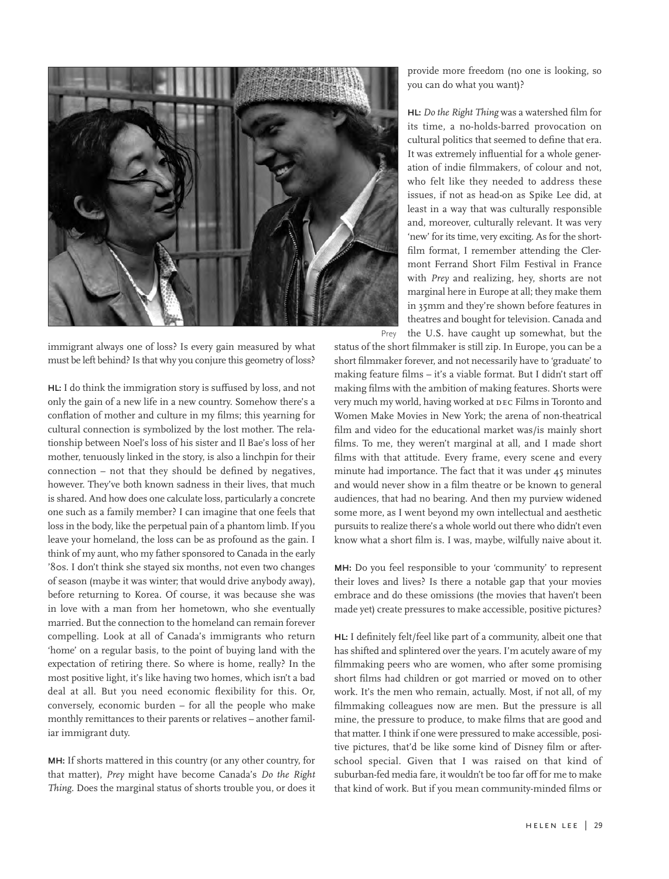

 immigrant always one of loss? Is every gain measured by what must be left behind? Is that why you conjure this geometry of loss?

HL: I do think the immigration story is suffused by loss, and not only the gain of a new life in a new country. Somehow there's a conflation of mother and culture in my films; this yearning for cultural connection is symbolized by the lost mother. The relationship between Noel's loss of his sister and Il Bae's loss of her mother, tenuously linked in the story, is also a linchpin for their connection – not that they should be defined by negatives, however. They've both known sadness in their lives, that much is shared. And how does one calculate loss, particularly a concrete one such as a family member? I can imagine that one feels that loss in the body, like the perpetual pain of a phantom limb. If you leave your homeland, the loss can be as profound as the gain. I think of my aunt, who my father sponsored to Canada in the early '80s. I don't think she stayed six months, not even two changes of season (maybe it was winter; that would drive anybody away), before returning to Korea. Of course, it was because she was in love with a man from her hometown, who she eventually married. But the connection to the homeland can remain forever compelling. Look at all of Canada's immigrants who return 'home' on a regular basis, to the point of buying land with the expectation of retiring there. So where is home, really? In the most positive light, it's like having two homes, which isn't a bad deal at all. But you need economic flexibility for this. Or, conversely, economic burden – for all the people who make monthly remittances to their parents or relatives – another familiar immigrant duty.

**MH:** If shorts mattered in this country (or any other country, for that matter), *Prey* might have become Canada's *Do the Right Thing*. Does the marginal status of shorts trouble you, or does it

provide more freedom (no one is looking, so you can do what you want)?

**HL:** *Do the Right Thing* was a watershed film for its time, a no-holds-barred provocation on cultural politics that seemed to define that era. It was extremely influential for a whole generation of indie filmmakers, of colour and not, who felt like they needed to address these issues, if not as head-on as Spike Lee did, at least in a way that was culturally responsible and, moreover, culturally relevant. It was very 'new' for its time, very exciting. As for the shortfilm format, I remember attending the Clermont Ferrand Short Film Festival in France with *Prey* and realizing, hey, shorts are not marginal here in Europe at all; they make them in 35mm and they're shown before features in theatres and bought for television. Canada and the U.S. have caught up somewhat, but the

status of the short filmmaker is still zip. In Europe, you can be a short filmmaker forever, and not necessarily have to 'graduate' to making feature films - it's a viable format. But I didn't start off making films with the ambition of making features. Shorts were very much my world, having worked at *dec* Films in Toronto and Women Make Movies in New York; the arena of non-theatrical film and video for the educational market was/is mainly short films. To me, they weren't marginal at all, and I made short films with that attitude. Every frame, every scene and every minute had importance. The fact that it was under 45 minutes and would never show in a film theatre or be known to general audiences, that had no bearing. And then my purview widened some more, as I went beyond my own intellectual and aesthetic pursuits to realize there's a whole world out there who didn't even know what a short film is. I was, maybe, wilfully naive about it.

**MH:** Do you feel responsible to your 'community' to represent their loves and lives? Is there a notable gap that your movies embrace and do these omissions (the movies that haven't been made yet) create pressures to make accessible, positive pictures?

**HL:** I definitely felt/feel like part of a community, albeit one that has shifted and splintered over the years. I'm acutely aware of my filmmaking peers who are women, who after some promising short films had children or got married or moved on to other work. It's the men who remain, actually. Most, if not all, of my filmmaking colleagues now are men. But the pressure is all mine, the pressure to produce, to make films that are good and that matter. I think if one were pressured to make accessible, positive pictures, that'd be like some kind of Disney film or afterschool special. Given that I was raised on that kind of suburban-fed media fare, it wouldn't be too far off for me to make that kind of work. But if you mean community-minded films or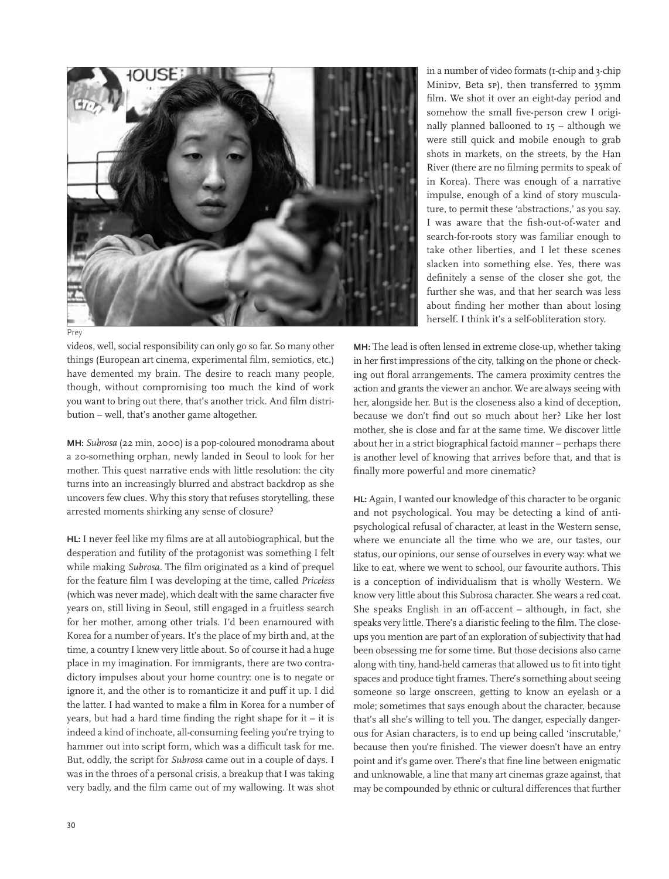

#### Prey

videos, well, social responsibility can only go so far. So many other things (European art cinema, experimental film, semiotics, etc.) have demented my brain. The desire to reach many people, though, without compromising too much the kind of work you want to bring out there, that's another trick. And film distribution – well, that's another game altogether.

**MH:** *Subrosa* (22 min, 2000) is a pop-coloured monodrama about a 20-something orphan, newly landed in Seoul to look for her mother. This quest narrative ends with little resolution: the city turns into an increasingly blurred and abstract backdrop as she uncovers few clues. Why this story that refuses storytelling, these arrested moments shirking any sense of closure?

**HL:** I never feel like my films are at all autobiographical, but the desperation and futility of the protagonist was something I felt while making *Subrosa*. The film originated as a kind of prequel for the feature film I was developing at the time, called *Priceless* (which was never made), which dealt with the same character five years on, still living in Seoul, still engaged in a fruitless search for her mother, among other trials. I'd been enamoured with Korea for a number of years. It's the place of my birth and, at the time, a country I knew very little about. So of course it had a huge place in my imagination. For immigrants, there are two contradictory impulses about your home country: one is to negate or ignore it, and the other is to romanticize it and puff it up. I did the latter. I had wanted to make a film in Korea for a number of years, but had a hard time finding the right shape for it – it is indeed a kind of inchoate, all-consuming feeling you're trying to hammer out into script form, which was a difficult task for me. But, oddly, the script for *Subrosa* came out in a couple of days. I was in the throes of a personal crisis, a breakup that I was taking very badly, and the film came out of my wallowing. It was shot in a number of video formats (1-chip and 3-chip Mini*dv*, Beta *sp*), then transferred to 35mm film. We shot it over an eight-day period and somehow the small five-person crew I originally planned ballooned to 15 – although we were still quick and mobile enough to grab shots in markets, on the streets, by the Han River (there are no filming permits to speak of in Korea). There was enough of a narrative impulse, enough of a kind of story musculature, to permit these 'abstractions,' as you say. I was aware that the fish-out-of-water and search-for-roots story was familiar enough to take other liberties, and I let these scenes slacken into something else. Yes, there was definitely a sense of the closer she got, the further she was, and that her search was less about finding her mother than about losing herself. I think it's a self-obliteration story.

**MH:** The lead is often lensed in extreme close-up, whether taking in her first impressions of the city, talking on the phone or checking out floral arrangements. The camera proximity centres the action and grants the viewer an anchor. We are always seeing with her, alongside her. But is the closeness also a kind of deception, because we don't find out so much about her? Like her lost mother, she is close and far at the same time. We discover little about her in a strict biographical factoid manner – perhaps there is another level of knowing that arrives before that, and that is finally more powerful and more cinematic?

**HL:** Again, I wanted our knowledge of this character to be organic and not psychological. You may be detecting a kind of antipsychological refusal of character, at least in the Western sense, where we enunciate all the time who we are, our tastes, our status, our opinions, our sense of ourselves in every way: what we like to eat, where we went to school, our favourite authors. This is a conception of individualism that is wholly Western. We know very little about this Subrosa character. She wears a red coat. She speaks English in an off-accent – although, in fact, she speaks very little. There's a diaristic feeling to the film. The closeups you mention are part of an exploration of subjectivity that had been obsessing me for some time. But those decisions also came along with tiny, hand-held cameras that allowed us to fit into tight spaces and produce tight frames. There's something about seeing someone so large onscreen, getting to know an eyelash or a mole; sometimes that says enough about the character, because that's all she's willing to tell you. The danger, especially dangerous for Asian characters, is to end up being called 'inscrutable,' because then you're finished. The viewer doesn't have an entry point and it's game over. There's that fine line between enigmatic and unknowable, a line that many art cinemas graze against, that may be compounded by ethnic or cultural differences that further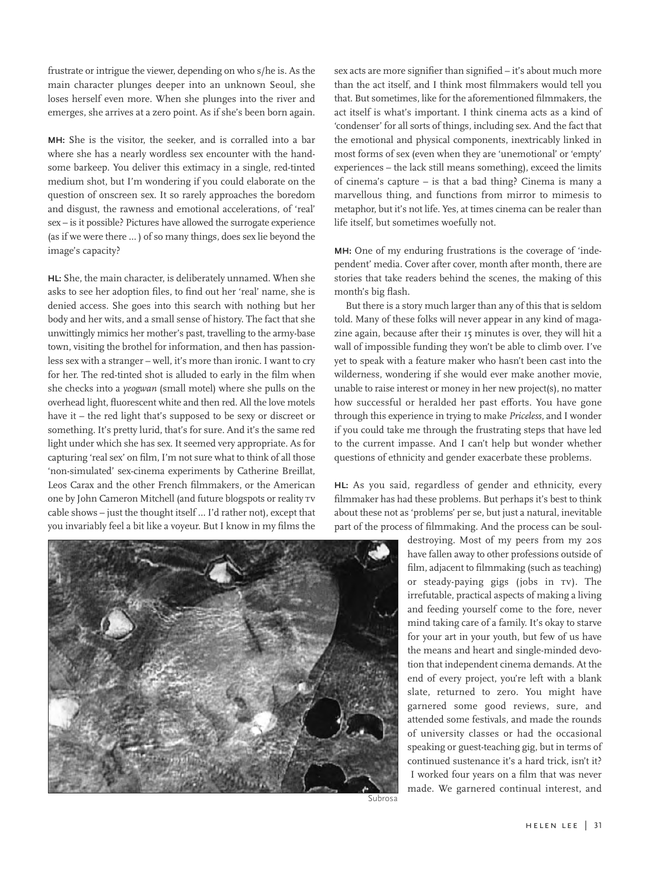frustrate or intrigue the viewer, depending on who s/he is. As the main character plunges deeper into an unknown Seoul, she loses herself even more. When she plunges into the river and emerges, she arrives at a zero point. As if she's been born again.

**MH:** She is the visitor, the seeker, and is corralled into a bar where she has a nearly wordless sex encounter with the handsome barkeep. You deliver this extimacy in a single, red-tinted medium shot, but I'm wondering if you could elaborate on the question of onscreen sex. It so rarely approaches the boredom and disgust, the rawness and emotional accelerations, of 'real' sex – is it possible? Pictures have allowed the surrogate experience (as if we were there … ) of so many things, does sex lie beyond the image's capacity?

**HL:** She, the main character, is deliberately unnamed. When she asks to see her adoption files, to find out her 'real' name, she is denied access. She goes into this search with nothing but her body and her wits, and a small sense of history. The fact that she unwittingly mimics her mother's past, travelling to the army-base town, visiting the brothel for information, and then has passionless sex with a stranger – well, it's more than ironic. I want to cry for her. The red-tinted shot is alluded to early in the film when she checks into a *yeogwan* (small motel) where she pulls on the overhead light, fluorescent white and then red. All the love motels have it – the red light that's supposed to be sexy or discreet or something. It's pretty lurid, that's for sure. And it's the same red light under which she has sex. It seemed very appropriate. As for capturing 'real sex' on film, I'm not sure what to think of all those 'non-simulated' sex-cinema experiments by Catherine Breillat, Leos Carax and the other French filmmakers, or the American one by John Cameron Mitchell (and future blogspots or reality *tv* cable shows – just the thought itself … I'd rather not), except that you invariably feel a bit like a voyeur. But I know in my films the

sex acts are more signifier than signified – it's about much more than the act itself, and I think most filmmakers would tell you that. But sometimes, like for the aforementioned filmmakers, the act itself is what's important. I think cinema acts as a kind of 'condenser' for all sorts of things, including sex. And the fact that the emotional and physical components, inextricably linked in most forms of sex (even when they are 'unemotional' or 'empty' experiences – the lack still means something), exceed the limits of cinema's capture – is that a bad thing? Cinema is many a marvellous thing, and functions from mirror to mimesis to metaphor, but it's not life. Yes, at times cinema can be realer than life itself, but sometimes woefully not.

**MH:** One of my enduring frustrations is the coverage of 'independent' media. Cover after cover, month after month, there are stories that take readers behind the scenes, the making of this month's big flash.

But there is a story much larger than any of this that is seldom told. Many of these folks will never appear in any kind of magazine again, because after their 15 minutes is over, they will hit a wall of impossible funding they won't be able to climb over. I've yet to speak with a feature maker who hasn't been cast into the wilderness, wondering if she would ever make another movie, unable to raise interest or money in her new project(s), no matter how successful or heralded her past efforts. You have gone through this experience in trying to make *Priceless*, and I wonder if you could take me through the frustrating steps that have led to the current impasse. And I can't help but wonder whether questions of ethnicity and gender exacerbate these problems.

**HL:** As you said, regardless of gender and ethnicity, every filmmaker has had these problems. But perhaps it's best to think about these not as 'problems' per se, but just a natural, inevitable part of the process of filmmaking. And the process can be soul-



Subrosa

destroying. Most of my peers from my 20s have fallen away to other professions outside of film, adjacent to filmmaking (such as teaching) or steady-paying gigs (jobs in *tv*). The irrefutable, practical aspects of making a living and feeding yourself come to the fore, never mind taking care of a family. It's okay to starve for your art in your youth, but few of us have the means and heart and single-minded devotion that independent cinema demands. At the end of every project, you're left with a blank slate, returned to zero. You might have garnered some good reviews, sure, and attended some festivals, and made the rounds of university classes or had the occasional speaking or guest-teaching gig, but in terms of continued sustenance it's a hard trick, isn't it? I worked four years on a film that was never made. We garnered continual interest, and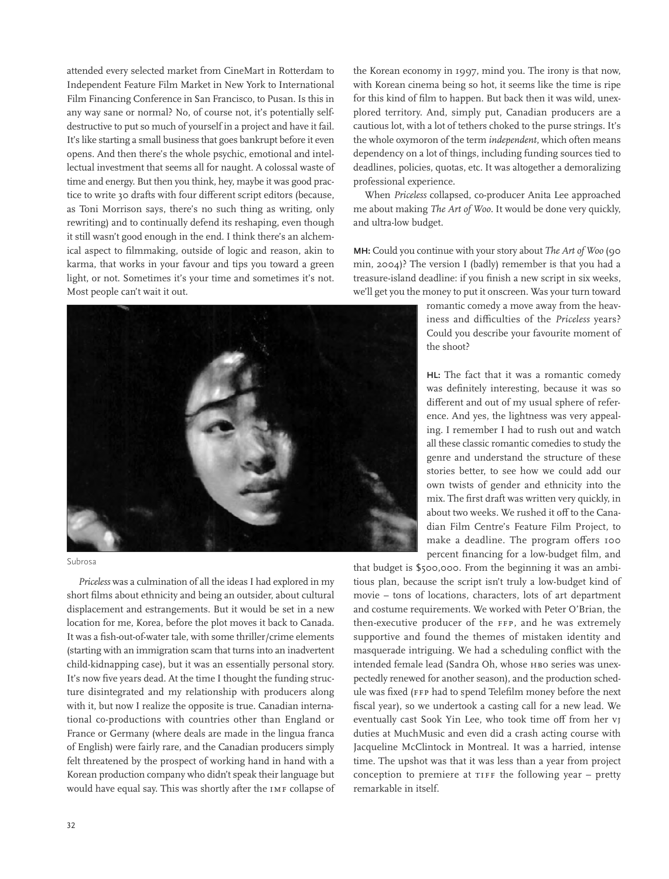attended every selected market from CineMart in Rotterdam to Independent Feature Film Market in New York to International Film Financing Conference in San Francisco, to Pusan. Is this in any way sane or normal? No, of course not, it's potentially selfdestructive to put so much of yourself in a project and have it fail. It's like starting a small business that goes bankrupt before it even opens. And then there's the whole psychic, emotional and intellectual investment that seems all for naught. A colossal waste of time and energy. But then you think, hey, maybe it was good practice to write 30 drafts with four different script editors (because, as Toni Morrison says, there's no such thing as writing, only rewriting) and to continually defend its reshaping, even though it still wasn't good enough in the end. I think there's an alchemical aspect to filmmaking, outside of logic and reason, akin to karma, that works in your favour and tips you toward a green light, or not. Sometimes it's your time and sometimes it's not. Most people can't wait it out.



Subrosa

*Priceless* was a culmination of all the ideas I had explored in my short films about ethnicity and being an outsider, about cultural displacement and estrangements. But it would be set in a new location for me, Korea, before the plot moves it back to Canada. It was a fish-out-of-water tale, with some thriller/crime elements (starting with an immigration scam that turns into an inadvertent child-kidnapping case), but it was an essentially personal story. It's now five years dead. At the time I thought the funding structure disintegrated and my relationship with producers along with it, but now I realize the opposite is true. Canadian international co-productions with countries other than England or France or Germany (where deals are made in the lingua franca of English) were fairly rare, and the Canadian producers simply felt threatened by the prospect of working hand in hand with a Korean production company who didn't speak their language but would have equal say. This was shortly after the *imf* collapse of the Korean economy in 1997, mind you. The irony is that now, with Korean cinema being so hot, it seems like the time is ripe for this kind of film to happen. But back then it was wild, unexplored territory. And, simply put, Canadian producers are a cautious lot, with a lot of tethers choked to the purse strings. It's the whole oxymoron of the term *independent*, which often means dependency on a lot of things, including funding sources tied to deadlines, policies, quotas, etc. It was altogether a demoralizing professional experience.

When *Priceless* collapsed, co-producer Anita Lee approached me about making *The Art of Woo*. It would be done very quickly, and ultra-low budget.

**MH:** Could you continue with your story about *The Art of Woo* (90 min, 2004)? The version I (badly) remember is that you had a treasure-island deadline: if you finish a new script in six weeks, we'll get you the money to put it onscreen. Was your turn toward

> romantic comedy a move away from the heaviness and difficulties of the *Priceless* years? Could you describe your favourite moment of the shoot?

> **HL:** The fact that it was a romantic comedy was definitely interesting, because it was so different and out of my usual sphere of reference. And yes, the lightness was very appealing. I remember I had to rush out and watch all these classic romantic comedies to study the genre and understand the structure of these stories better, to see how we could add our own twists of gender and ethnicity into the mix. The first draft was written very quickly, in about two weeks. We rushed it off to the Canadian Film Centre's Feature Film Project, to make a deadline. The program offers 100 percent financing for a low-budget film, and

that budget is \$500,000. From the beginning it was an ambitious plan, because the script isn't truly a low-budget kind of movie – tons of locations, characters, lots of art department and costume requirements. We worked with Peter O'Brian, the then-executive producer of the *ffp*, and he was extremely supportive and found the themes of mistaken identity and masquerade intriguing. We had a scheduling conflict with the intended female lead (Sandra Oh, whose *hbo* series was unexpectedly renewed for another season), and the production schedule was fixed (*ffp* had to spend Telefilm money before the next fiscal year), so we undertook a casting call for a new lead. We eventually cast Sook Yin Lee, who took time off from her *v*<sub>J</sub> duties at MuchMusic and even did a crash acting course with Jacqueline McClintock in Montreal. It was a harried, intense time. The upshot was that it was less than a year from project conception to premiere at *tiff* the following year – pretty remarkable in itself.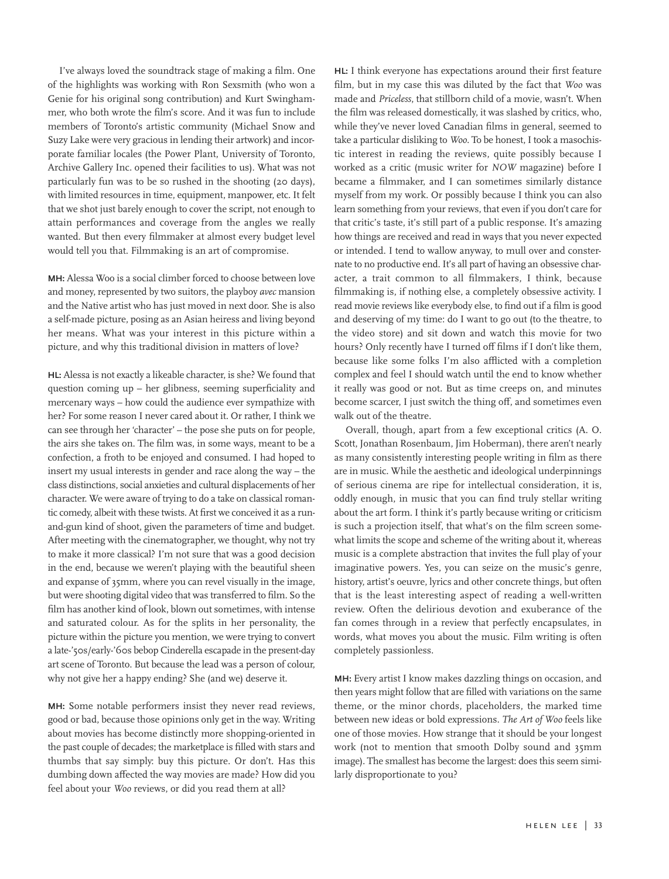I've always loved the soundtrack stage of making a film. One of the highlights was working with Ron Sexsmith (who won a Genie for his original song contribution) and Kurt Swinghammer, who both wrote the film's score. And it was fun to include members of Toronto's artistic community (Michael Snow and Suzy Lake were very gracious in lending their artwork) and incorporate familiar locales (the Power Plant, University of Toronto, Archive Gallery Inc. opened their facilities to us). What was not particularly fun was to be so rushed in the shooting (20 days), with limited resources in time, equipment, manpower, etc. It felt that we shot just barely enough to cover the script, not enough to attain performances and coverage from the angles we really wanted. But then every filmmaker at almost every budget level would tell you that. Filmmaking is an art of compromise.

**MH:** Alessa Woo is a social climber forced to choose between love and money, represented by two suitors, the playboy *avec* mansion and the Native artist who has just moved in next door. She is also a self-made picture, posing as an Asian heiress and living beyond her means. What was your interest in this picture within a picture, and why this traditional division in matters of love?

**HL:** Alessa is not exactly a likeable character, is she? We found that question coming up – her glibness, seeming superficiality and mercenary ways – how could the audience ever sympathize with her? For some reason I never cared about it. Or rather, I think we can see through her 'character' – the pose she puts on for people, the airs she takes on. The film was, in some ways, meant to be a confection, a froth to be enjoyed and consumed. I had hoped to insert my usual interests in gender and race along the way – the class distinctions, social anxieties and cultural displacements of her character. We were aware of trying to do a take on classical romantic comedy, albeit with these twists. At first we conceived it as a runand-gun kind of shoot, given the parameters of time and budget. After meeting with the cinematographer, we thought, why not try to make it more classical? I'm not sure that was a good decision in the end, because we weren't playing with the beautiful sheen and expanse of 35mm, where you can revel visually in the image, but were shooting digital video that was transferred to film. So the film has another kind of look, blown out sometimes, with intense and saturated colour. As for the splits in her personality, the picture within the picture you mention, we were trying to convert a late-'50s/early-'60s bebop Cinderella escapade in the present-day art scene of Toronto. But because the lead was a person of colour, why not give her a happy ending? She (and we) deserve it.

**MH:** Some notable performers insist they never read reviews, good or bad, because those opinions only get in the way. Writing about movies has become distinctly more shopping-oriented in the past couple of decades; the marketplace is filled with stars and thumbs that say simply: buy this picture. Or don't. Has this dumbing down affected the way movies are made? How did you feel about your *Woo* reviews, or did you read them at all?

**HL:** I think everyone has expectations around their first feature film, but in my case this was diluted by the fact that *Woo* was made and *Priceless*, that stillborn child of a movie, wasn't. When the film was released domestically, it was slashed by critics, who, while they've never loved Canadian films in general, seemed to take a particular disliking to *Woo*. To be honest, I took a masochistic interest in reading the reviews, quite possibly because I worked as a critic (music writer for *NOW* magazine) before I became a filmmaker, and I can sometimes similarly distance myself from my work. Or possibly because I think you can also learn something from your reviews, that even if you don't care for that critic's taste, it's still part of a public response. It's amazing how things are received and read in ways that you never expected or intended. I tend to wallow anyway, to mull over and consternate to no productive end. It's all part of having an obsessive character, a trait common to all filmmakers, I think, because filmmaking is, if nothing else, a completely obsessive activity. I read movie reviews like everybody else, to find out if a film is good and deserving of my time: do I want to go out (to the theatre, to the video store) and sit down and watch this movie for two hours? Only recently have I turned off films if I don't like them, because like some folks I'm also afflicted with a completion complex and feel I should watch until the end to know whether it really was good or not. But as time creeps on, and minutes become scarcer, I just switch the thing off, and sometimes even walk out of the theatre.

Overall, though, apart from a few exceptional critics (A. O. Scott, Jonathan Rosenbaum, Jim Hoberman), there aren't nearly as many consistently interesting people writing in film as there are in music. While the aesthetic and ideological underpinnings of serious cinema are ripe for intellectual consideration, it is, oddly enough, in music that you can find truly stellar writing about the art form. I think it's partly because writing or criticism is such a projection itself, that what's on the film screen somewhat limits the scope and scheme of the writing about it, whereas music is a complete abstraction that invites the full play of your imaginative powers. Yes, you can seize on the music's genre, history, artist's oeuvre, lyrics and other concrete things, but often that is the least interesting aspect of reading a well-written review. Often the delirious devotion and exuberance of the fan comes through in a review that perfectly encapsulates, in words, what moves you about the music. Film writing is often completely passionless.

**MH:** Every artist I know makes dazzling things on occasion, and then years might follow that are filled with variations on the same theme, or the minor chords, placeholders, the marked time between new ideas or bold expressions. *The Art of Woo* feels like one of those movies. How strange that it should be your longest work (not to mention that smooth Dolby sound and 35mm image). The smallest has become the largest: does this seem similarly disproportionate to you?